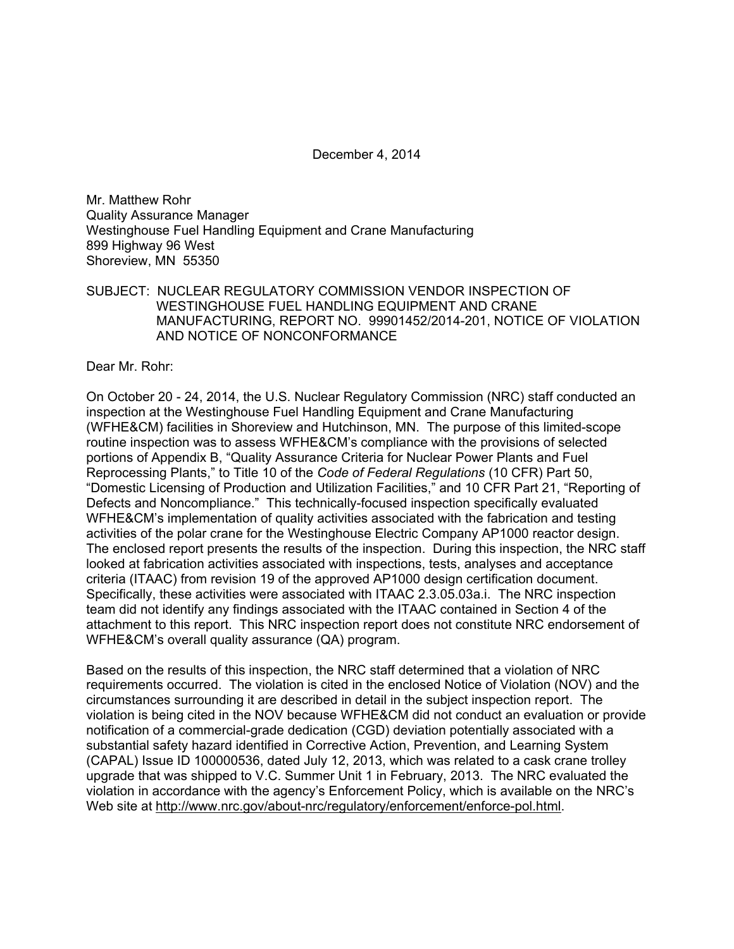December 4, 2014

Mr. Matthew Rohr Quality Assurance Manager Westinghouse Fuel Handling Equipment and Crane Manufacturing 899 Highway 96 West Shoreview, MN 55350

SUBJECT: NUCLEAR REGULATORY COMMISSION VENDOR INSPECTION OF WESTINGHOUSE FUEL HANDLING EQUIPMENT AND CRANE MANUFACTURING, REPORT NO. 99901452/2014-201, NOTICE OF VIOLATION AND NOTICE OF NONCONFORMANCE

Dear Mr. Rohr:

On October 20 - 24, 2014, the U.S. Nuclear Regulatory Commission (NRC) staff conducted an inspection at the Westinghouse Fuel Handling Equipment and Crane Manufacturing (WFHE&CM) facilities in Shoreview and Hutchinson, MN. The purpose of this limited-scope routine inspection was to assess WFHE&CM's compliance with the provisions of selected portions of Appendix B, "Quality Assurance Criteria for Nuclear Power Plants and Fuel Reprocessing Plants," to Title 10 of the *Code of Federal Regulations* (10 CFR) Part 50, "Domestic Licensing of Production and Utilization Facilities," and 10 CFR Part 21, "Reporting of Defects and Noncompliance." This technically-focused inspection specifically evaluated WFHE&CM's implementation of quality activities associated with the fabrication and testing activities of the polar crane for the Westinghouse Electric Company AP1000 reactor design. The enclosed report presents the results of the inspection. During this inspection, the NRC staff looked at fabrication activities associated with inspections, tests, analyses and acceptance criteria (ITAAC) from revision 19 of the approved AP1000 design certification document. Specifically, these activities were associated with ITAAC 2.3.05.03a.i. The NRC inspection team did not identify any findings associated with the ITAAC contained in Section 4 of the attachment to this report. This NRC inspection report does not constitute NRC endorsement of WFHE&CM's overall quality assurance (QA) program.

Based on the results of this inspection, the NRC staff determined that a violation of NRC requirements occurred. The violation is cited in the enclosed Notice of Violation (NOV) and the circumstances surrounding it are described in detail in the subject inspection report. The violation is being cited in the NOV because WFHE&CM did not conduct an evaluation or provide notification of a commercial-grade dedication (CGD) deviation potentially associated with a substantial safety hazard identified in Corrective Action, Prevention, and Learning System (CAPAL) Issue ID 100000536, dated July 12, 2013, which was related to a cask crane trolley upgrade that was shipped to V.C. Summer Unit 1 in February, 2013. The NRC evaluated the violation in accordance with the agency's Enforcement Policy, which is available on the NRC's Web site at http://www.nrc.gov/about-nrc/regulatory/enforcement/enforce-pol.html.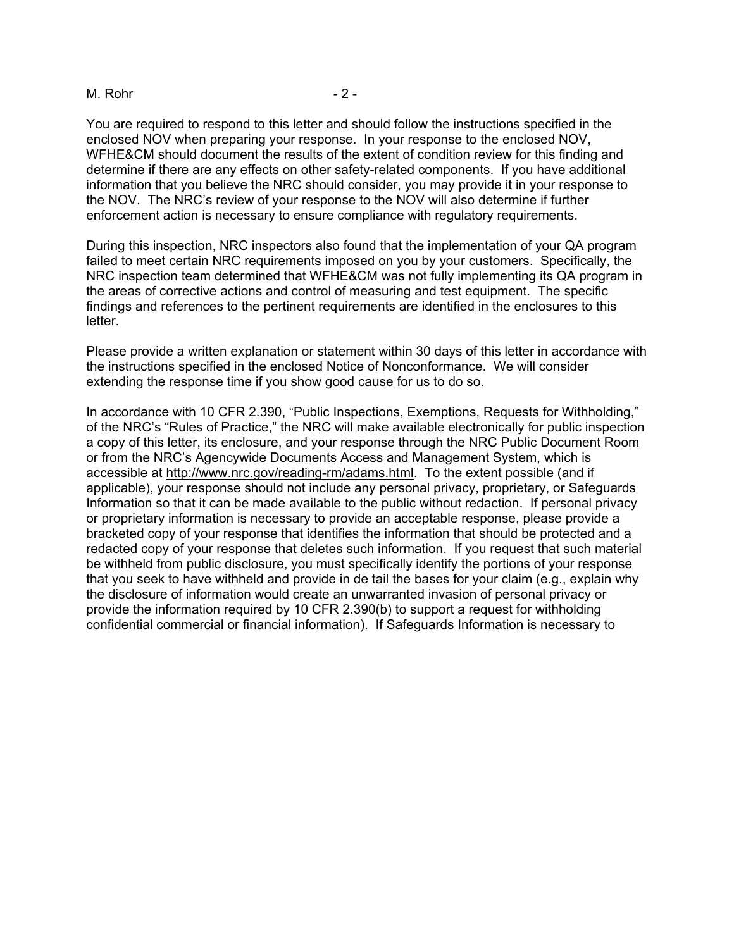#### M. Rohr - 2 -

You are required to respond to this letter and should follow the instructions specified in the enclosed NOV when preparing your response. In your response to the enclosed NOV, WFHE&CM should document the results of the extent of condition review for this finding and determine if there are any effects on other safety-related components. If you have additional information that you believe the NRC should consider, you may provide it in your response to the NOV. The NRC's review of your response to the NOV will also determine if further enforcement action is necessary to ensure compliance with regulatory requirements.

During this inspection, NRC inspectors also found that the implementation of your QA program failed to meet certain NRC requirements imposed on you by your customers. Specifically, the NRC inspection team determined that WFHE&CM was not fully implementing its QA program in the areas of corrective actions and control of measuring and test equipment. The specific findings and references to the pertinent requirements are identified in the enclosures to this letter.

Please provide a written explanation or statement within 30 days of this letter in accordance with the instructions specified in the enclosed Notice of Nonconformance. We will consider extending the response time if you show good cause for us to do so.

In accordance with 10 CFR 2.390, "Public Inspections, Exemptions, Requests for Withholding," of the NRC's "Rules of Practice," the NRC will make available electronically for public inspection a copy of this letter, its enclosure, and your response through the NRC Public Document Room or from the NRC's Agencywide Documents Access and Management System, which is accessible at http://www.nrc.gov/reading-rm/adams.html. To the extent possible (and if applicable), your response should not include any personal privacy, proprietary, or Safeguards Information so that it can be made available to the public without redaction. If personal privacy or proprietary information is necessary to provide an acceptable response, please provide a bracketed copy of your response that identifies the information that should be protected and a redacted copy of your response that deletes such information. If you request that such material be withheld from public disclosure, you must specifically identify the portions of your response that you seek to have withheld and provide in de tail the bases for your claim (e.g., explain why the disclosure of information would create an unwarranted invasion of personal privacy or provide the information required by 10 CFR 2.390(b) to support a request for withholding confidential commercial or financial information). If Safeguards Information is necessary to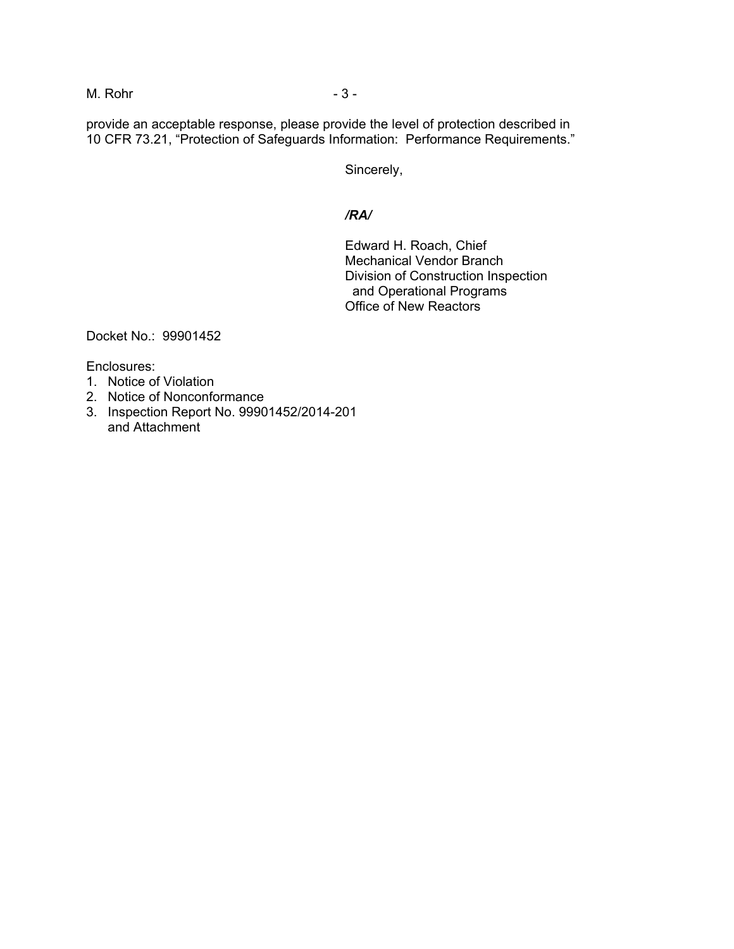## M. Rohr - 3 -

provide an acceptable response, please provide the level of protection described in 10 CFR 73.21, "Protection of Safeguards Information: Performance Requirements."

Sincerely,

### */RA/*

Edward H. Roach, Chief Mechanical Vendor Branch Division of Construction Inspection and Operational Programs Office of New Reactors

Docket No.: 99901452

Enclosures:

- 1. Notice of Violation
- 2. Notice of Nonconformance
- 3. Inspection Report No. 99901452/2014-201 and Attachment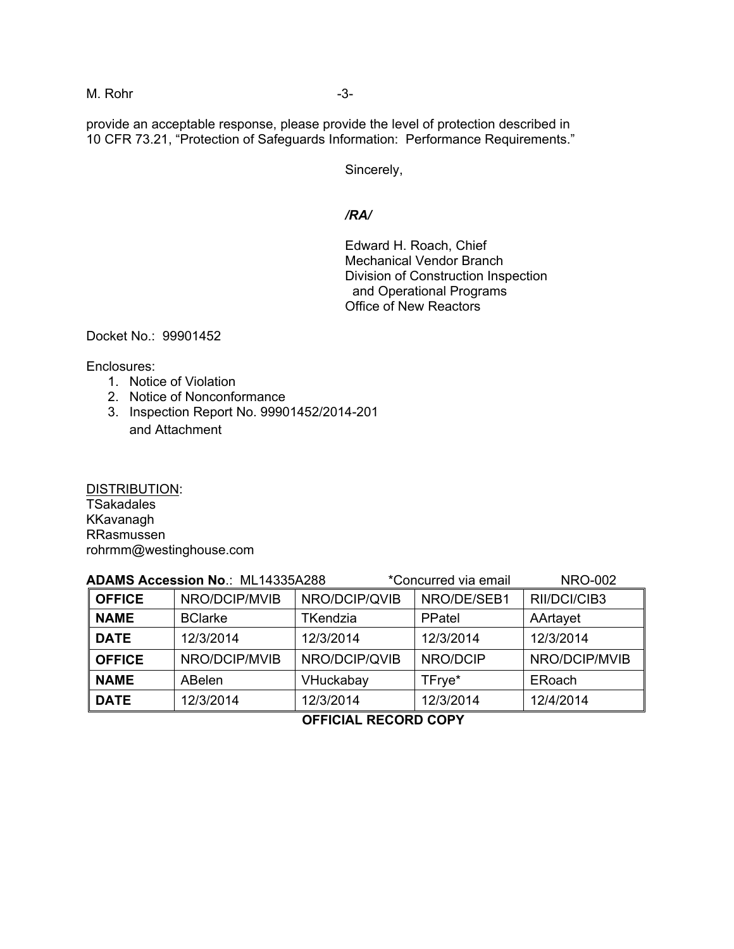### M. Rohr -3-

provide an acceptable response, please provide the level of protection described in 10 CFR 73.21, "Protection of Safeguards Information: Performance Requirements."

Sincerely,

#### */RA/*

Edward H. Roach, Chief Mechanical Vendor Branch Division of Construction Inspection and Operational Programs Office of New Reactors

Docket No.: 99901452

Enclosures:

- 1. Notice of Violation
- 2. Notice of Nonconformance
- 3. Inspection Report No. 99901452/2014-201 and Attachment

DISTRIBUTION: **TSakadales** KKavanagh RRasmussen rohrmm@westinghouse.com

| ADAMS Accession No.: ML14335A288 |                |                 | *Concurred via email |               |
|----------------------------------|----------------|-----------------|----------------------|---------------|
| <b>OFFICE</b>                    | NRO/DCIP/MVIB  | NRO/DCIP/QVIB   | NRO/DE/SEB1          | RII/DCI/CIB3  |
| <b>NAME</b>                      | <b>BClarke</b> | <b>TKendzia</b> | PPatel               | AArtayet      |
| <b>DATE</b>                      | 12/3/2014      | 12/3/2014       | 12/3/2014            | 12/3/2014     |
| <b>OFFICE</b>                    | NRO/DCIP/MVIB  | NRO/DCIP/QVIB   | NRO/DCIP             | NRO/DCIP/MVIB |
| <b>NAME</b>                      | <b>ABelen</b>  | VHuckabay       | TFrye*               | ERoach        |
| <b>DATE</b>                      | 12/3/2014      | 12/3/2014       | 12/3/2014            | 12/4/2014     |

## **OFFICIAL RECORD COPY**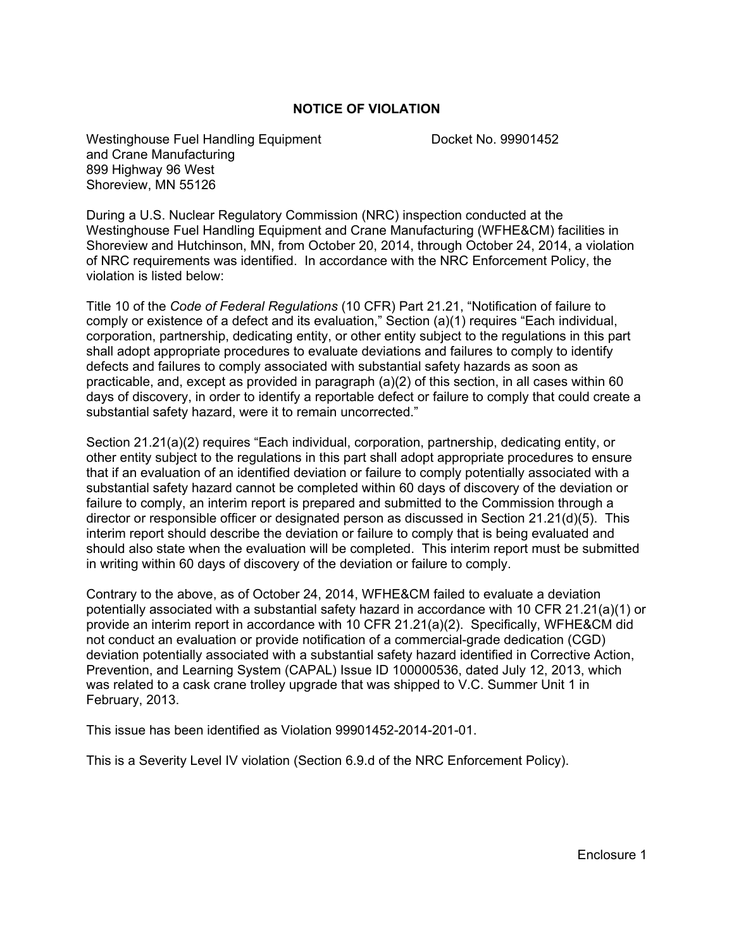### **NOTICE OF VIOLATION**

Westinghouse Fuel Handling Equipment Docket No. 99901452 and Crane Manufacturing 899 Highway 96 West Shoreview, MN 55126

During a U.S. Nuclear Regulatory Commission (NRC) inspection conducted at the Westinghouse Fuel Handling Equipment and Crane Manufacturing (WFHE&CM) facilities in Shoreview and Hutchinson, MN, from October 20, 2014, through October 24, 2014, a violation of NRC requirements was identified. In accordance with the NRC Enforcement Policy, the violation is listed below:

Title 10 of the *Code of Federal Regulations* (10 CFR) Part 21.21, "Notification of failure to comply or existence of a defect and its evaluation," Section (a)(1) requires "Each individual, corporation, partnership, dedicating entity, or other entity subject to the regulations in this part shall adopt appropriate procedures to evaluate deviations and failures to comply to identify defects and failures to comply associated with substantial safety hazards as soon as practicable, and, except as provided in paragraph (a)(2) of this section, in all cases within 60 days of discovery, in order to identify a reportable defect or failure to comply that could create a substantial safety hazard, were it to remain uncorrected."

Section 21.21(a)(2) requires "Each individual, corporation, partnership, dedicating entity, or other entity subject to the regulations in this part shall adopt appropriate procedures to ensure that if an evaluation of an identified deviation or failure to comply potentially associated with a substantial safety hazard cannot be completed within 60 days of discovery of the deviation or failure to comply, an interim report is prepared and submitted to the Commission through a director or responsible officer or designated person as discussed in Section 21.21(d)(5). This interim report should describe the deviation or failure to comply that is being evaluated and should also state when the evaluation will be completed. This interim report must be submitted in writing within 60 days of discovery of the deviation or failure to comply.

Contrary to the above, as of October 24, 2014, WFHE&CM failed to evaluate a deviation potentially associated with a substantial safety hazard in accordance with 10 CFR 21.21(a)(1) or provide an interim report in accordance with 10 CFR 21.21(a)(2). Specifically, WFHE&CM did not conduct an evaluation or provide notification of a commercial-grade dedication (CGD) deviation potentially associated with a substantial safety hazard identified in Corrective Action, Prevention, and Learning System (CAPAL) Issue ID 100000536, dated July 12, 2013, which was related to a cask crane trolley upgrade that was shipped to V.C. Summer Unit 1 in February, 2013.

This issue has been identified as Violation 99901452-2014-201-01.

This is a Severity Level IV violation (Section 6.9.d of the NRC Enforcement Policy).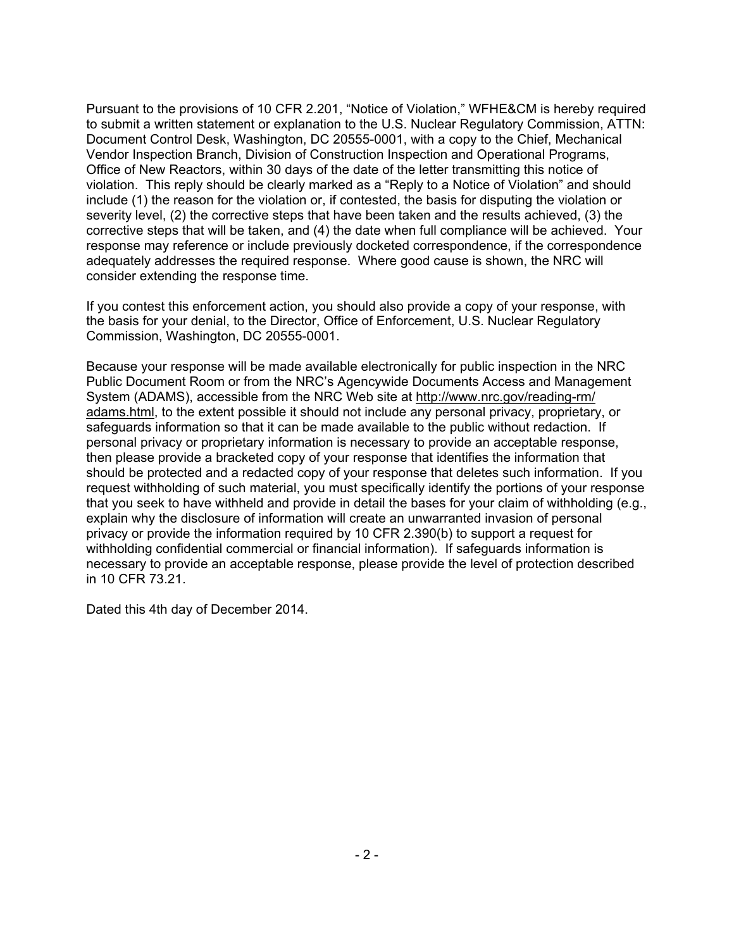Pursuant to the provisions of 10 CFR 2.201, "Notice of Violation," WFHE&CM is hereby required to submit a written statement or explanation to the U.S. Nuclear Regulatory Commission, ATTN: Document Control Desk, Washington, DC 20555-0001, with a copy to the Chief, Mechanical Vendor Inspection Branch, Division of Construction Inspection and Operational Programs, Office of New Reactors, within 30 days of the date of the letter transmitting this notice of violation. This reply should be clearly marked as a "Reply to a Notice of Violation" and should include (1) the reason for the violation or, if contested, the basis for disputing the violation or severity level, (2) the corrective steps that have been taken and the results achieved, (3) the corrective steps that will be taken, and (4) the date when full compliance will be achieved. Your response may reference or include previously docketed correspondence, if the correspondence adequately addresses the required response. Where good cause is shown, the NRC will consider extending the response time.

If you contest this enforcement action, you should also provide a copy of your response, with the basis for your denial, to the Director, Office of Enforcement, U.S. Nuclear Regulatory Commission, Washington, DC 20555-0001.

Because your response will be made available electronically for public inspection in the NRC Public Document Room or from the NRC's Agencywide Documents Access and Management System (ADAMS), accessible from the NRC Web site at http://www.nrc.gov/reading-rm/ adams.html, to the extent possible it should not include any personal privacy, proprietary, or safeguards information so that it can be made available to the public without redaction. If personal privacy or proprietary information is necessary to provide an acceptable response, then please provide a bracketed copy of your response that identifies the information that should be protected and a redacted copy of your response that deletes such information. If you request withholding of such material, you must specifically identify the portions of your response that you seek to have withheld and provide in detail the bases for your claim of withholding (e.g., explain why the disclosure of information will create an unwarranted invasion of personal privacy or provide the information required by 10 CFR 2.390(b) to support a request for withholding confidential commercial or financial information). If safeguards information is necessary to provide an acceptable response, please provide the level of protection described in 10 CFR 73.21.

Dated this 4th day of December 2014.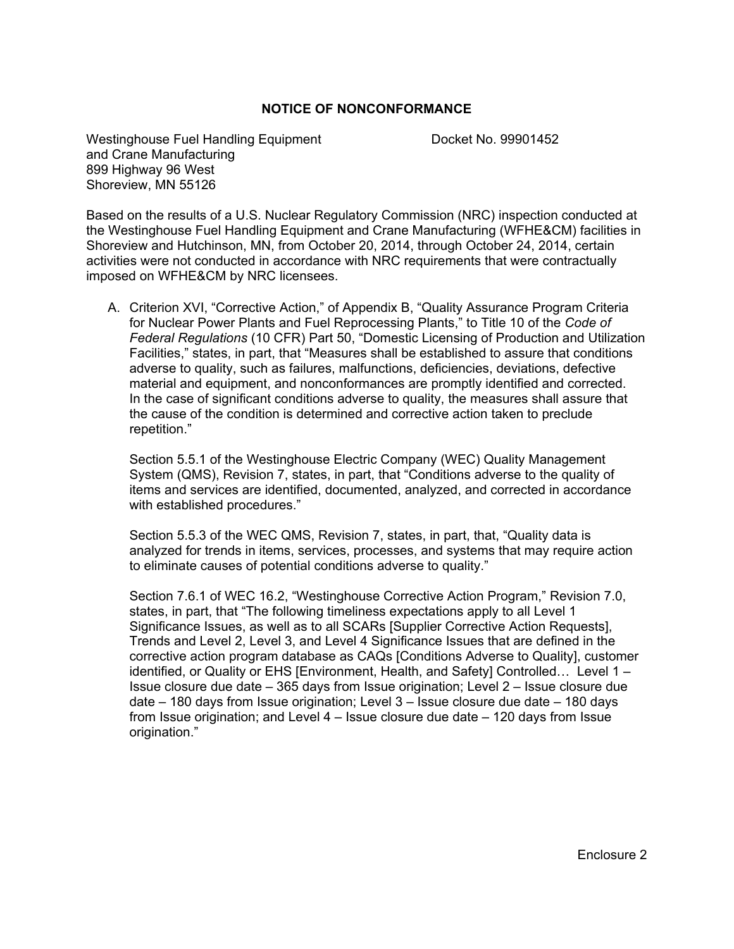### **NOTICE OF NONCONFORMANCE**

Westinghouse Fuel Handling Equipment Docket No. 99901452 and Crane Manufacturing 899 Highway 96 West Shoreview, MN 55126

Based on the results of a U.S. Nuclear Regulatory Commission (NRC) inspection conducted at the Westinghouse Fuel Handling Equipment and Crane Manufacturing (WFHE&CM) facilities in Shoreview and Hutchinson, MN, from October 20, 2014, through October 24, 2014, certain activities were not conducted in accordance with NRC requirements that were contractually imposed on WFHE&CM by NRC licensees.

A. Criterion XVI, "Corrective Action," of Appendix B, "Quality Assurance Program Criteria for Nuclear Power Plants and Fuel Reprocessing Plants," to Title 10 of the *Code of Federal Regulations* (10 CFR) Part 50, "Domestic Licensing of Production and Utilization Facilities," states, in part, that "Measures shall be established to assure that conditions adverse to quality, such as failures, malfunctions, deficiencies, deviations, defective material and equipment, and nonconformances are promptly identified and corrected. In the case of significant conditions adverse to quality, the measures shall assure that the cause of the condition is determined and corrective action taken to preclude repetition."

Section 5.5.1 of the Westinghouse Electric Company (WEC) Quality Management System (QMS), Revision 7, states, in part, that "Conditions adverse to the quality of items and services are identified, documented, analyzed, and corrected in accordance with established procedures."

Section 5.5.3 of the WEC QMS, Revision 7, states, in part, that, "Quality data is analyzed for trends in items, services, processes, and systems that may require action to eliminate causes of potential conditions adverse to quality."

Section 7.6.1 of WEC 16.2, "Westinghouse Corrective Action Program," Revision 7.0, states, in part, that "The following timeliness expectations apply to all Level 1 Significance Issues, as well as to all SCARs [Supplier Corrective Action Requests], Trends and Level 2, Level 3, and Level 4 Significance Issues that are defined in the corrective action program database as CAQs [Conditions Adverse to Quality], customer identified, or Quality or EHS [Environment, Health, and Safety] Controlled… Level 1 – Issue closure due date – 365 days from Issue origination; Level 2 – Issue closure due date – 180 days from Issue origination; Level 3 – Issue closure due date – 180 days from Issue origination; and Level 4 – Issue closure due date – 120 days from Issue origination."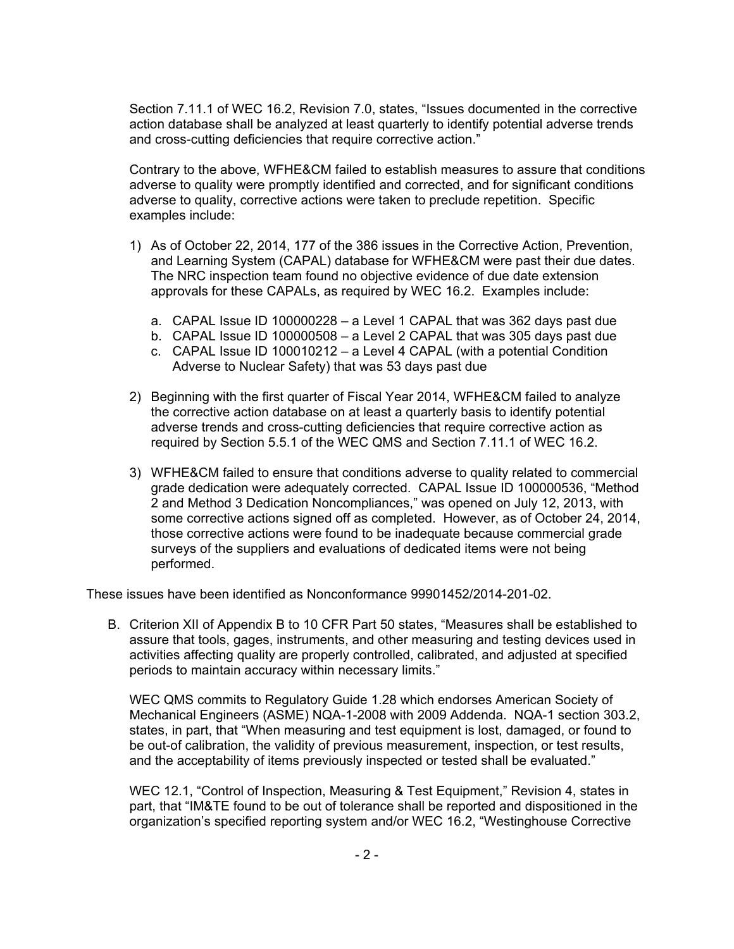Section 7.11.1 of WEC 16.2, Revision 7.0, states, "Issues documented in the corrective action database shall be analyzed at least quarterly to identify potential adverse trends and cross-cutting deficiencies that require corrective action."

Contrary to the above, WFHE&CM failed to establish measures to assure that conditions adverse to quality were promptly identified and corrected, and for significant conditions adverse to quality, corrective actions were taken to preclude repetition. Specific examples include:

- 1) As of October 22, 2014, 177 of the 386 issues in the Corrective Action, Prevention, and Learning System (CAPAL) database for WFHE&CM were past their due dates. The NRC inspection team found no objective evidence of due date extension approvals for these CAPALs, as required by WEC 16.2. Examples include:
	- a. CAPAL Issue ID 100000228 a Level 1 CAPAL that was 362 days past due
	- b. CAPAL Issue ID 100000508 a Level 2 CAPAL that was 305 days past due
	- c. CAPAL Issue ID 100010212 a Level 4 CAPAL (with a potential Condition Adverse to Nuclear Safety) that was 53 days past due
- 2) Beginning with the first quarter of Fiscal Year 2014, WFHE&CM failed to analyze the corrective action database on at least a quarterly basis to identify potential adverse trends and cross-cutting deficiencies that require corrective action as required by Section 5.5.1 of the WEC QMS and Section 7.11.1 of WEC 16.2.
- 3) WFHE&CM failed to ensure that conditions adverse to quality related to commercial grade dedication were adequately corrected. CAPAL Issue ID 100000536, "Method 2 and Method 3 Dedication Noncompliances," was opened on July 12, 2013, with some corrective actions signed off as completed. However, as of October 24, 2014, those corrective actions were found to be inadequate because commercial grade surveys of the suppliers and evaluations of dedicated items were not being performed.

These issues have been identified as Nonconformance 99901452/2014-201-02.

B. Criterion XII of Appendix B to 10 CFR Part 50 states, "Measures shall be established to assure that tools, gages, instruments, and other measuring and testing devices used in activities affecting quality are properly controlled, calibrated, and adjusted at specified periods to maintain accuracy within necessary limits."

WEC QMS commits to Regulatory Guide 1.28 which endorses American Society of Mechanical Engineers (ASME) NQA-1-2008 with 2009 Addenda. NQA-1 section 303.2, states, in part, that "When measuring and test equipment is lost, damaged, or found to be out-of calibration, the validity of previous measurement, inspection, or test results, and the acceptability of items previously inspected or tested shall be evaluated."

WEC 12.1, "Control of Inspection, Measuring & Test Equipment," Revision 4, states in part, that "IM&TE found to be out of tolerance shall be reported and dispositioned in the organization's specified reporting system and/or WEC 16.2, "Westinghouse Corrective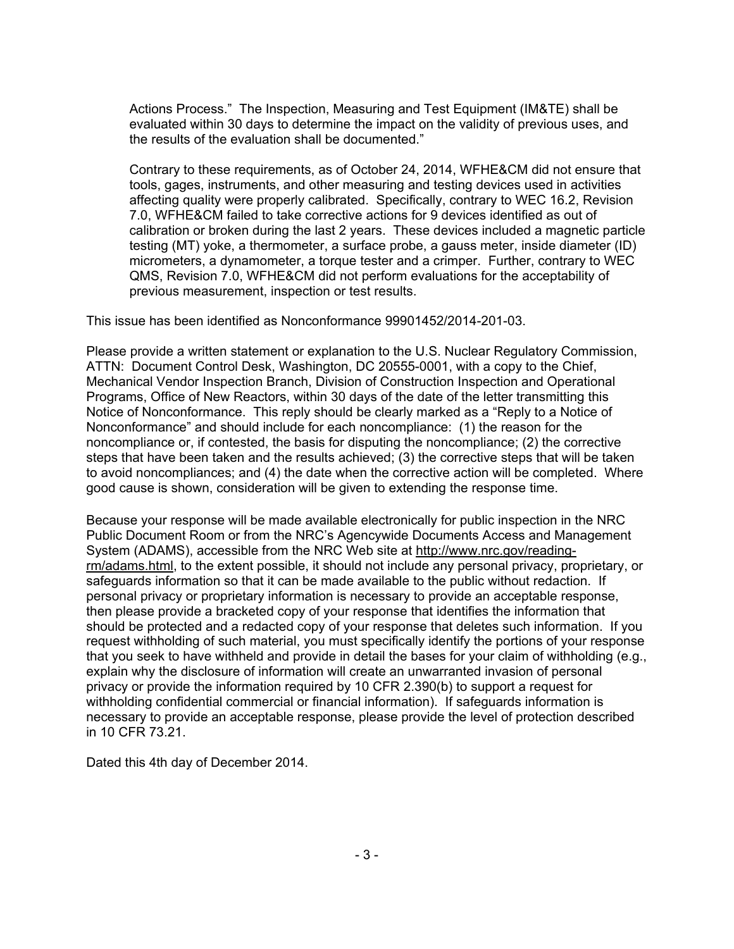Actions Process." The Inspection, Measuring and Test Equipment (IM&TE) shall be evaluated within 30 days to determine the impact on the validity of previous uses, and the results of the evaluation shall be documented."

Contrary to these requirements, as of October 24, 2014, WFHE&CM did not ensure that tools, gages, instruments, and other measuring and testing devices used in activities affecting quality were properly calibrated. Specifically, contrary to WEC 16.2, Revision 7.0, WFHE&CM failed to take corrective actions for 9 devices identified as out of calibration or broken during the last 2 years. These devices included a magnetic particle testing (MT) yoke, a thermometer, a surface probe, a gauss meter, inside diameter (ID) micrometers, a dynamometer, a torque tester and a crimper. Further, contrary to WEC QMS, Revision 7.0, WFHE&CM did not perform evaluations for the acceptability of previous measurement, inspection or test results.

This issue has been identified as Nonconformance 99901452/2014-201-03.

Please provide a written statement or explanation to the U.S. Nuclear Regulatory Commission, ATTN: Document Control Desk, Washington, DC 20555-0001, with a copy to the Chief, Mechanical Vendor Inspection Branch, Division of Construction Inspection and Operational Programs, Office of New Reactors, within 30 days of the date of the letter transmitting this Notice of Nonconformance. This reply should be clearly marked as a "Reply to a Notice of Nonconformance" and should include for each noncompliance: (1) the reason for the noncompliance or, if contested, the basis for disputing the noncompliance; (2) the corrective steps that have been taken and the results achieved; (3) the corrective steps that will be taken to avoid noncompliances; and (4) the date when the corrective action will be completed. Where good cause is shown, consideration will be given to extending the response time.

Because your response will be made available electronically for public inspection in the NRC Public Document Room or from the NRC's Agencywide Documents Access and Management System (ADAMS), accessible from the NRC Web site at http://www.nrc.gov/readingrm/adams.html, to the extent possible, it should not include any personal privacy, proprietary, or safeguards information so that it can be made available to the public without redaction. If personal privacy or proprietary information is necessary to provide an acceptable response, then please provide a bracketed copy of your response that identifies the information that should be protected and a redacted copy of your response that deletes such information. If you request withholding of such material, you must specifically identify the portions of your response that you seek to have withheld and provide in detail the bases for your claim of withholding (e.g., explain why the disclosure of information will create an unwarranted invasion of personal privacy or provide the information required by 10 CFR 2.390(b) to support a request for withholding confidential commercial or financial information). If safeguards information is necessary to provide an acceptable response, please provide the level of protection described in 10 CFR 73.21.

Dated this 4th day of December 2014.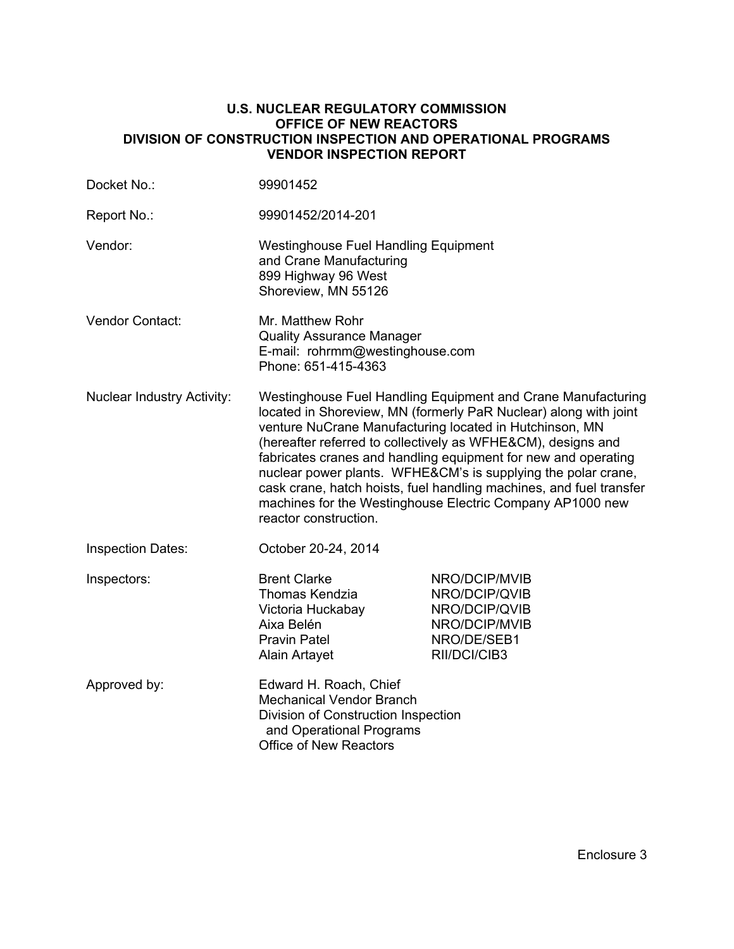#### **U.S. NUCLEAR REGULATORY COMMISSION OFFICE OF NEW REACTORS DIVISION OF CONSTRUCTION INSPECTION AND OPERATIONAL PROGRAMS VENDOR INSPECTION REPORT**

| Docket No.:                       | 99901452                                                                                                                                                                                                                                                                                                                                                                                                                                                                                                                                                    |                                                                                                 |  |
|-----------------------------------|-------------------------------------------------------------------------------------------------------------------------------------------------------------------------------------------------------------------------------------------------------------------------------------------------------------------------------------------------------------------------------------------------------------------------------------------------------------------------------------------------------------------------------------------------------------|-------------------------------------------------------------------------------------------------|--|
| Report No.:                       | 99901452/2014-201                                                                                                                                                                                                                                                                                                                                                                                                                                                                                                                                           |                                                                                                 |  |
| Vendor:                           | <b>Westinghouse Fuel Handling Equipment</b><br>and Crane Manufacturing<br>899 Highway 96 West<br>Shoreview, MN 55126                                                                                                                                                                                                                                                                                                                                                                                                                                        |                                                                                                 |  |
| Vendor Contact:                   | Mr. Matthew Rohr<br><b>Quality Assurance Manager</b><br>E-mail: rohrmm@westinghouse.com<br>Phone: 651-415-4363                                                                                                                                                                                                                                                                                                                                                                                                                                              |                                                                                                 |  |
| <b>Nuclear Industry Activity:</b> | Westinghouse Fuel Handling Equipment and Crane Manufacturing<br>located in Shoreview, MN (formerly PaR Nuclear) along with joint<br>venture NuCrane Manufacturing located in Hutchinson, MN<br>(hereafter referred to collectively as WFHE&CM), designs and<br>fabricates cranes and handling equipment for new and operating<br>nuclear power plants. WFHE&CM's is supplying the polar crane,<br>cask crane, hatch hoists, fuel handling machines, and fuel transfer<br>machines for the Westinghouse Electric Company AP1000 new<br>reactor construction. |                                                                                                 |  |
| <b>Inspection Dates:</b>          | October 20-24, 2014                                                                                                                                                                                                                                                                                                                                                                                                                                                                                                                                         |                                                                                                 |  |
| Inspectors:                       | <b>Brent Clarke</b><br>Thomas Kendzia<br>Victoria Huckabay<br>Aixa Belén<br><b>Pravin Patel</b><br>Alain Artayet                                                                                                                                                                                                                                                                                                                                                                                                                                            | NRO/DCIP/MVIB<br>NRO/DCIP/QVIB<br>NRO/DCIP/QVIB<br>NRO/DCIP/MVIB<br>NRO/DE/SEB1<br>RII/DCI/CIB3 |  |
| Approved by:                      | Edward H. Roach, Chief<br><b>Mechanical Vendor Branch</b><br>Division of Construction Inspection<br>and Operational Programs<br><b>Office of New Reactors</b>                                                                                                                                                                                                                                                                                                                                                                                               |                                                                                                 |  |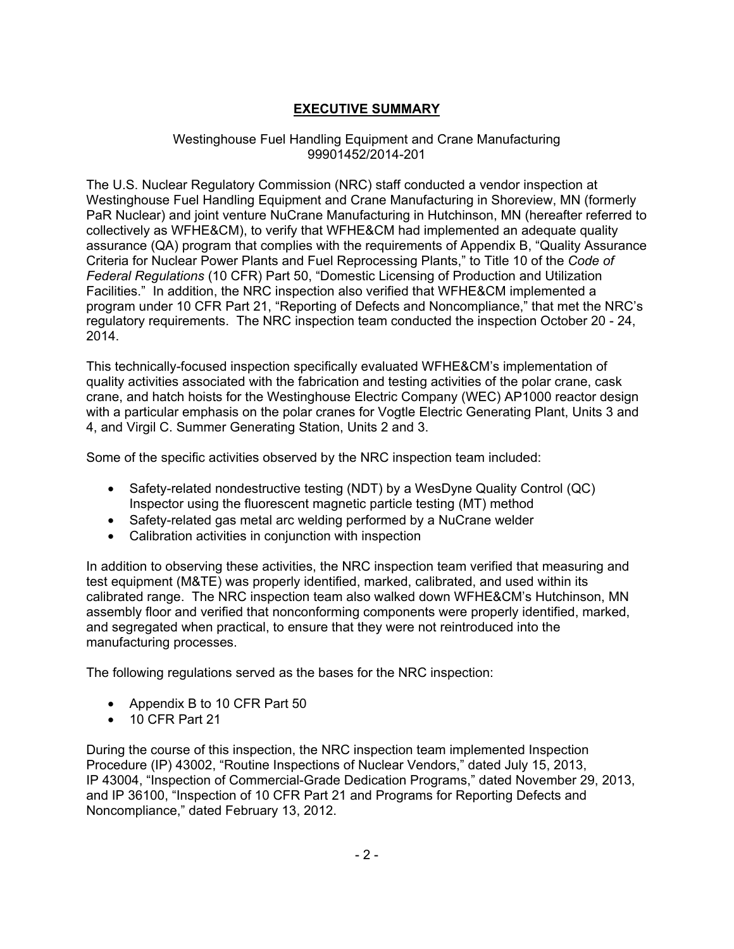# **EXECUTIVE SUMMARY**

### Westinghouse Fuel Handling Equipment and Crane Manufacturing 99901452/2014-201

The U.S. Nuclear Regulatory Commission (NRC) staff conducted a vendor inspection at Westinghouse Fuel Handling Equipment and Crane Manufacturing in Shoreview, MN (formerly PaR Nuclear) and joint venture NuCrane Manufacturing in Hutchinson, MN (hereafter referred to collectively as WFHE&CM), to verify that WFHE&CM had implemented an adequate quality assurance (QA) program that complies with the requirements of Appendix B, "Quality Assurance Criteria for Nuclear Power Plants and Fuel Reprocessing Plants," to Title 10 of the *Code of Federal Regulations* (10 CFR) Part 50, "Domestic Licensing of Production and Utilization Facilities." In addition, the NRC inspection also verified that WFHE&CM implemented a program under 10 CFR Part 21, "Reporting of Defects and Noncompliance," that met the NRC's regulatory requirements. The NRC inspection team conducted the inspection October 20 - 24, 2014.

This technically-focused inspection specifically evaluated WFHE&CM's implementation of quality activities associated with the fabrication and testing activities of the polar crane, cask crane, and hatch hoists for the Westinghouse Electric Company (WEC) AP1000 reactor design with a particular emphasis on the polar cranes for Vogtle Electric Generating Plant, Units 3 and 4, and Virgil C. Summer Generating Station, Units 2 and 3.

Some of the specific activities observed by the NRC inspection team included:

- Safety-related nondestructive testing (NDT) by a WesDyne Quality Control (QC) Inspector using the fluorescent magnetic particle testing (MT) method
- Safety-related gas metal arc welding performed by a NuCrane welder
- Calibration activities in conjunction with inspection

In addition to observing these activities, the NRC inspection team verified that measuring and test equipment (M&TE) was properly identified, marked, calibrated, and used within its calibrated range. The NRC inspection team also walked down WFHE&CM's Hutchinson, MN assembly floor and verified that nonconforming components were properly identified, marked, and segregated when practical, to ensure that they were not reintroduced into the manufacturing processes.

The following regulations served as the bases for the NRC inspection:

- Appendix B to 10 CFR Part 50
- 10 CFR Part 21

During the course of this inspection, the NRC inspection team implemented Inspection Procedure (IP) 43002, "Routine Inspections of Nuclear Vendors," dated July 15, 2013, IP 43004, "Inspection of Commercial-Grade Dedication Programs," dated November 29, 2013, and IP 36100, "Inspection of 10 CFR Part 21 and Programs for Reporting Defects and Noncompliance," dated February 13, 2012.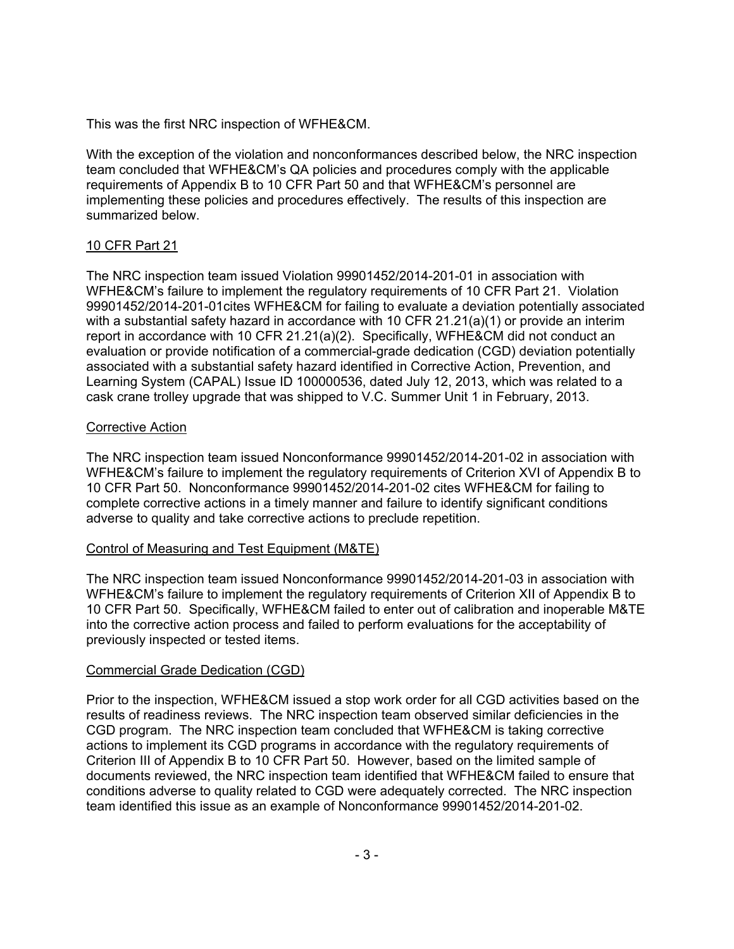This was the first NRC inspection of WFHE&CM.

With the exception of the violation and nonconformances described below, the NRC inspection team concluded that WFHE&CM's QA policies and procedures comply with the applicable requirements of Appendix B to 10 CFR Part 50 and that WFHE&CM's personnel are implementing these policies and procedures effectively. The results of this inspection are summarized below.

# 10 CFR Part 21

The NRC inspection team issued Violation 99901452/2014-201-01 in association with WFHE&CM's failure to implement the regulatory requirements of 10 CFR Part 21. Violation 99901452/2014-201-01cites WFHE&CM for failing to evaluate a deviation potentially associated with a substantial safety hazard in accordance with 10 CFR 21.21(a)(1) or provide an interim report in accordance with 10 CFR 21.21(a)(2). Specifically, WFHE&CM did not conduct an evaluation or provide notification of a commercial-grade dedication (CGD) deviation potentially associated with a substantial safety hazard identified in Corrective Action, Prevention, and Learning System (CAPAL) Issue ID 100000536, dated July 12, 2013, which was related to a cask crane trolley upgrade that was shipped to V.C. Summer Unit 1 in February, 2013.

## Corrective Action

The NRC inspection team issued Nonconformance 99901452/2014-201-02 in association with WFHE&CM's failure to implement the regulatory requirements of Criterion XVI of Appendix B to 10 CFR Part 50. Nonconformance 99901452/2014-201-02 cites WFHE&CM for failing to complete corrective actions in a timely manner and failure to identify significant conditions adverse to quality and take corrective actions to preclude repetition.

# Control of Measuring and Test Equipment (M&TE)

The NRC inspection team issued Nonconformance 99901452/2014-201-03 in association with WFHE&CM's failure to implement the regulatory requirements of Criterion XII of Appendix B to 10 CFR Part 50. Specifically, WFHE&CM failed to enter out of calibration and inoperable M&TE into the corrective action process and failed to perform evaluations for the acceptability of previously inspected or tested items.

## Commercial Grade Dedication (CGD)

Prior to the inspection, WFHE&CM issued a stop work order for all CGD activities based on the results of readiness reviews. The NRC inspection team observed similar deficiencies in the CGD program. The NRC inspection team concluded that WFHE&CM is taking corrective actions to implement its CGD programs in accordance with the regulatory requirements of Criterion III of Appendix B to 10 CFR Part 50. However, based on the limited sample of documents reviewed, the NRC inspection team identified that WFHE&CM failed to ensure that conditions adverse to quality related to CGD were adequately corrected. The NRC inspection team identified this issue as an example of Nonconformance 99901452/2014-201-02.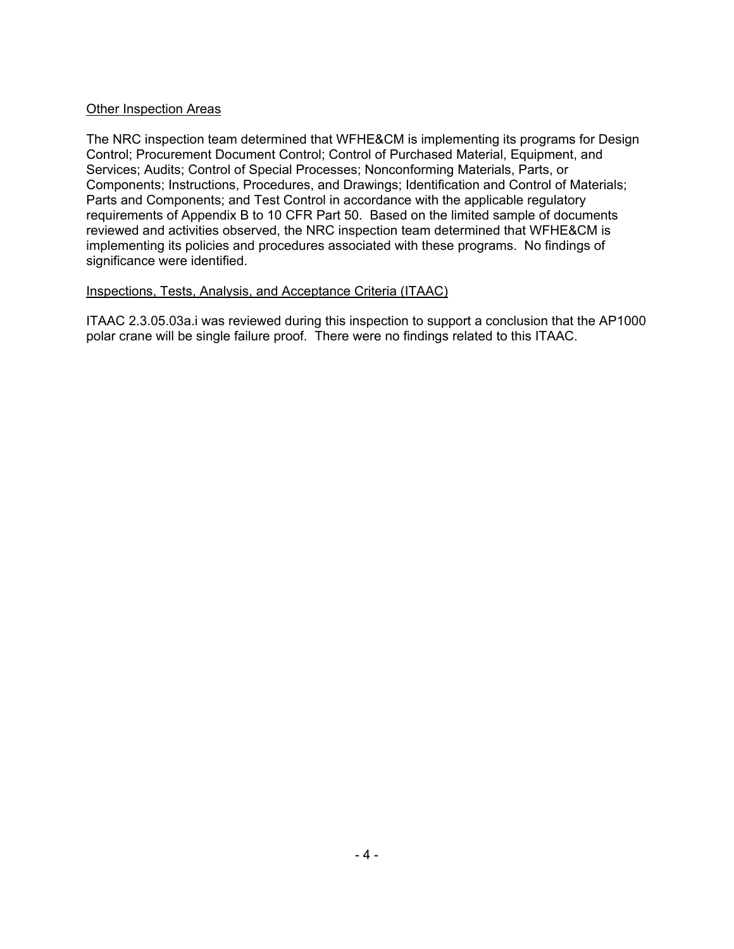### Other Inspection Areas

The NRC inspection team determined that WFHE&CM is implementing its programs for Design Control; Procurement Document Control; Control of Purchased Material, Equipment, and Services; Audits; Control of Special Processes; Nonconforming Materials, Parts, or Components; Instructions, Procedures, and Drawings; Identification and Control of Materials; Parts and Components; and Test Control in accordance with the applicable regulatory requirements of Appendix B to 10 CFR Part 50. Based on the limited sample of documents reviewed and activities observed, the NRC inspection team determined that WFHE&CM is implementing its policies and procedures associated with these programs. No findings of significance were identified.

### Inspections, Tests, Analysis, and Acceptance Criteria (ITAAC)

ITAAC 2.3.05.03a.i was reviewed during this inspection to support a conclusion that the AP1000 polar crane will be single failure proof. There were no findings related to this ITAAC.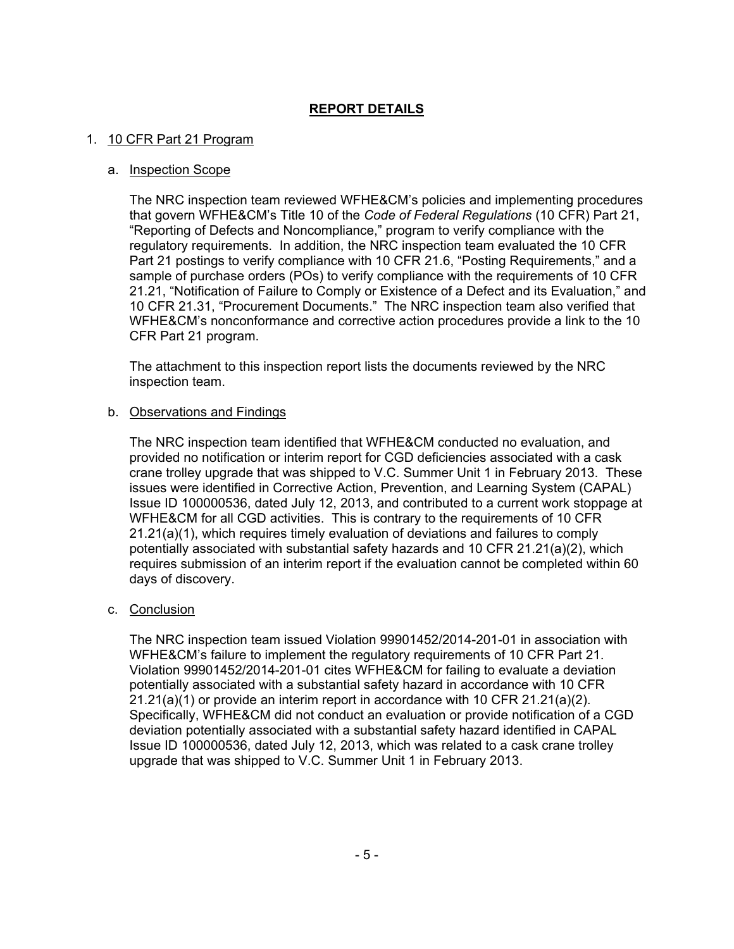# **REPORT DETAILS**

### 1. 10 CFR Part 21 Program

#### a. Inspection Scope

The NRC inspection team reviewed WFHE&CM's policies and implementing procedures that govern WFHE&CM's Title 10 of the *Code of Federal Regulations* (10 CFR) Part 21, "Reporting of Defects and Noncompliance," program to verify compliance with the regulatory requirements. In addition, the NRC inspection team evaluated the 10 CFR Part 21 postings to verify compliance with 10 CFR 21.6, "Posting Requirements," and a sample of purchase orders (POs) to verify compliance with the requirements of 10 CFR 21.21, "Notification of Failure to Comply or Existence of a Defect and its Evaluation," and 10 CFR 21.31, "Procurement Documents." The NRC inspection team also verified that WFHE&CM's nonconformance and corrective action procedures provide a link to the 10 CFR Part 21 program.

The attachment to this inspection report lists the documents reviewed by the NRC inspection team.

### b. Observations and Findings

The NRC inspection team identified that WFHE&CM conducted no evaluation, and provided no notification or interim report for CGD deficiencies associated with a cask crane trolley upgrade that was shipped to V.C. Summer Unit 1 in February 2013. These issues were identified in Corrective Action, Prevention, and Learning System (CAPAL) Issue ID 100000536, dated July 12, 2013, and contributed to a current work stoppage at WFHE&CM for all CGD activities. This is contrary to the requirements of 10 CFR 21.21(a)(1), which requires timely evaluation of deviations and failures to comply potentially associated with substantial safety hazards and 10 CFR 21.21(a)(2), which requires submission of an interim report if the evaluation cannot be completed within 60 days of discovery.

## c. Conclusion

The NRC inspection team issued Violation 99901452/2014-201-01 in association with WFHE&CM's failure to implement the regulatory requirements of 10 CFR Part 21. Violation 99901452/2014-201-01 cites WFHE&CM for failing to evaluate a deviation potentially associated with a substantial safety hazard in accordance with 10 CFR  $21.21(a)(1)$  or provide an interim report in accordance with 10 CFR  $21.21(a)(2)$ . Specifically, WFHE&CM did not conduct an evaluation or provide notification of a CGD deviation potentially associated with a substantial safety hazard identified in CAPAL Issue ID 100000536, dated July 12, 2013, which was related to a cask crane trolley upgrade that was shipped to V.C. Summer Unit 1 in February 2013.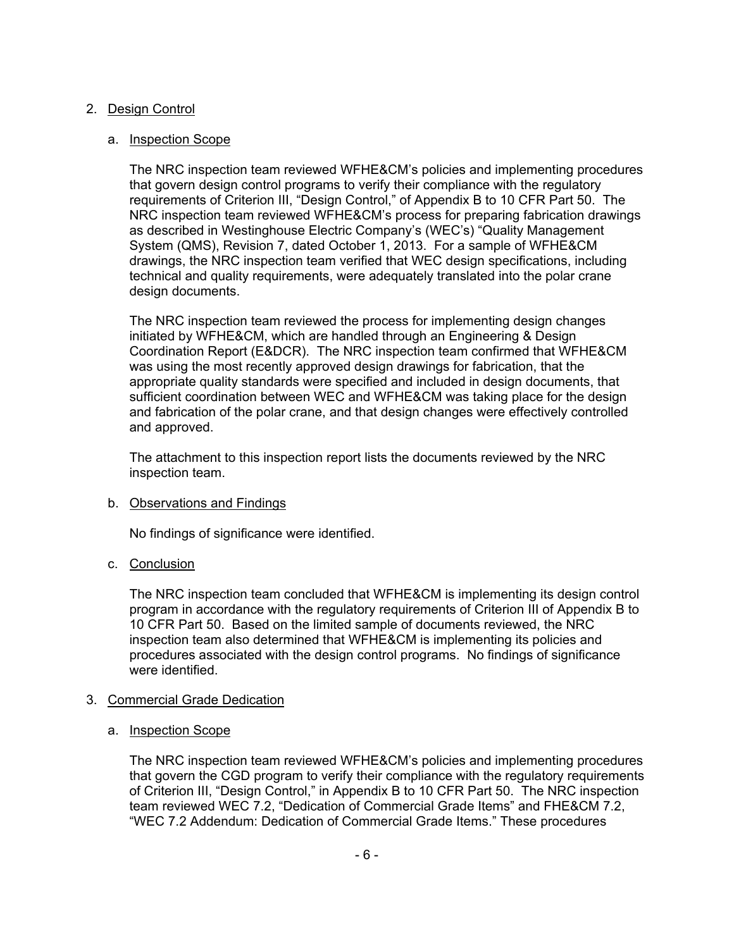## 2. Design Control

## a. Inspection Scope

The NRC inspection team reviewed WFHE&CM's policies and implementing procedures that govern design control programs to verify their compliance with the regulatory requirements of Criterion III, "Design Control," of Appendix B to 10 CFR Part 50. The NRC inspection team reviewed WFHE&CM's process for preparing fabrication drawings as described in Westinghouse Electric Company's (WEC's) "Quality Management System (QMS), Revision 7, dated October 1, 2013. For a sample of WFHE&CM drawings, the NRC inspection team verified that WEC design specifications, including technical and quality requirements, were adequately translated into the polar crane design documents.

The NRC inspection team reviewed the process for implementing design changes initiated by WFHE&CM, which are handled through an Engineering & Design Coordination Report (E&DCR). The NRC inspection team confirmed that WFHE&CM was using the most recently approved design drawings for fabrication, that the appropriate quality standards were specified and included in design documents, that sufficient coordination between WEC and WFHE&CM was taking place for the design and fabrication of the polar crane, and that design changes were effectively controlled and approved.

The attachment to this inspection report lists the documents reviewed by the NRC inspection team.

# b. Observations and Findings

No findings of significance were identified.

# c. Conclusion

The NRC inspection team concluded that WFHE&CM is implementing its design control program in accordance with the regulatory requirements of Criterion III of Appendix B to 10 CFR Part 50. Based on the limited sample of documents reviewed, the NRC inspection team also determined that WFHE&CM is implementing its policies and procedures associated with the design control programs. No findings of significance were identified.

## 3. Commercial Grade Dedication

## a. **Inspection Scope**

The NRC inspection team reviewed WFHE&CM's policies and implementing procedures that govern the CGD program to verify their compliance with the regulatory requirements of Criterion III, "Design Control," in Appendix B to 10 CFR Part 50. The NRC inspection team reviewed WEC 7.2, "Dedication of Commercial Grade Items" and FHE&CM 7.2, "WEC 7.2 Addendum: Dedication of Commercial Grade Items." These procedures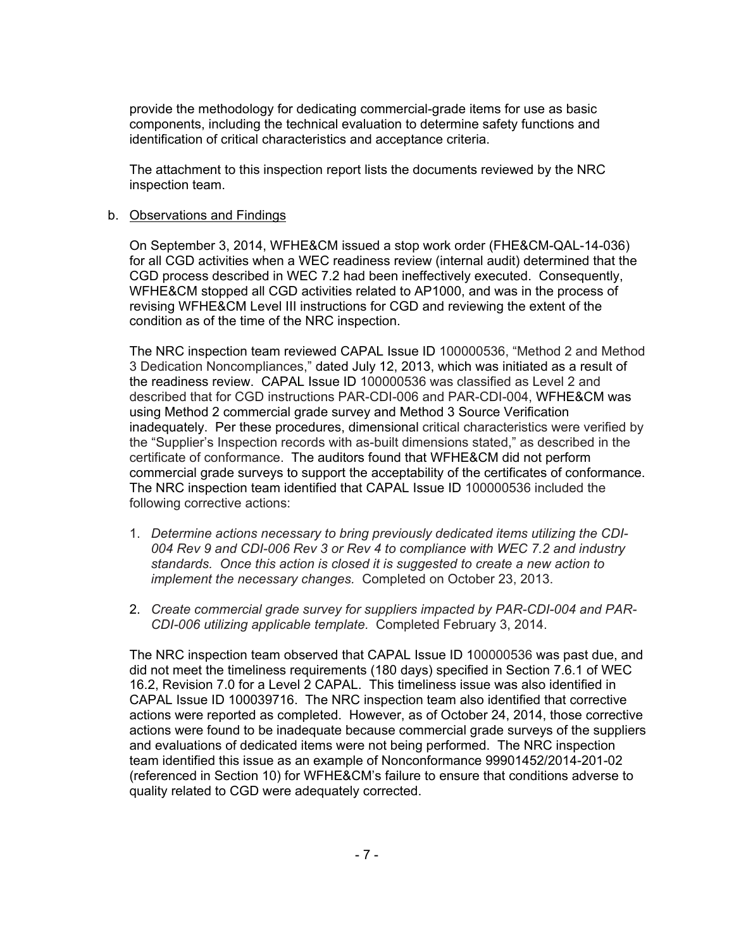provide the methodology for dedicating commercial-grade items for use as basic components, including the technical evaluation to determine safety functions and identification of critical characteristics and acceptance criteria.

The attachment to this inspection report lists the documents reviewed by the NRC inspection team.

### b. Observations and Findings

On September 3, 2014, WFHE&CM issued a stop work order (FHE&CM-QAL-14-036) for all CGD activities when a WEC readiness review (internal audit) determined that the CGD process described in WEC 7.2 had been ineffectively executed. Consequently, WFHE&CM stopped all CGD activities related to AP1000, and was in the process of revising WFHE&CM Level III instructions for CGD and reviewing the extent of the condition as of the time of the NRC inspection.

The NRC inspection team reviewed CAPAL Issue ID 100000536, "Method 2 and Method 3 Dedication Noncompliances," dated July 12, 2013, which was initiated as a result of the readiness review. CAPAL Issue ID 100000536 was classified as Level 2 and described that for CGD instructions PAR-CDI-006 and PAR-CDI-004, WFHE&CM was using Method 2 commercial grade survey and Method 3 Source Verification inadequately. Per these procedures, dimensional critical characteristics were verified by the "Supplier's Inspection records with as-built dimensions stated," as described in the certificate of conformance. The auditors found that WFHE&CM did not perform commercial grade surveys to support the acceptability of the certificates of conformance. The NRC inspection team identified that CAPAL Issue ID 100000536 included the following corrective actions:

- 1. *Determine actions necessary to bring previously dedicated items utilizing the CDI-004 Rev 9 and CDI-006 Rev 3 or Rev 4 to compliance with WEC 7.2 and industry standards. Once this action is closed it is suggested to create a new action to implement the necessary changes.* Completed on October 23, 2013.
- 2. *Create commercial grade survey for suppliers impacted by PAR-CDI-004 and PAR-CDI-006 utilizing applicable template.* Completed February 3, 2014.

The NRC inspection team observed that CAPAL Issue ID 100000536 was past due, and did not meet the timeliness requirements (180 days) specified in Section 7.6.1 of WEC 16.2, Revision 7.0 for a Level 2 CAPAL. This timeliness issue was also identified in CAPAL Issue ID 100039716. The NRC inspection team also identified that corrective actions were reported as completed. However, as of October 24, 2014, those corrective actions were found to be inadequate because commercial grade surveys of the suppliers and evaluations of dedicated items were not being performed. The NRC inspection team identified this issue as an example of Nonconformance 99901452/2014-201-02 (referenced in Section 10) for WFHE&CM's failure to ensure that conditions adverse to quality related to CGD were adequately corrected.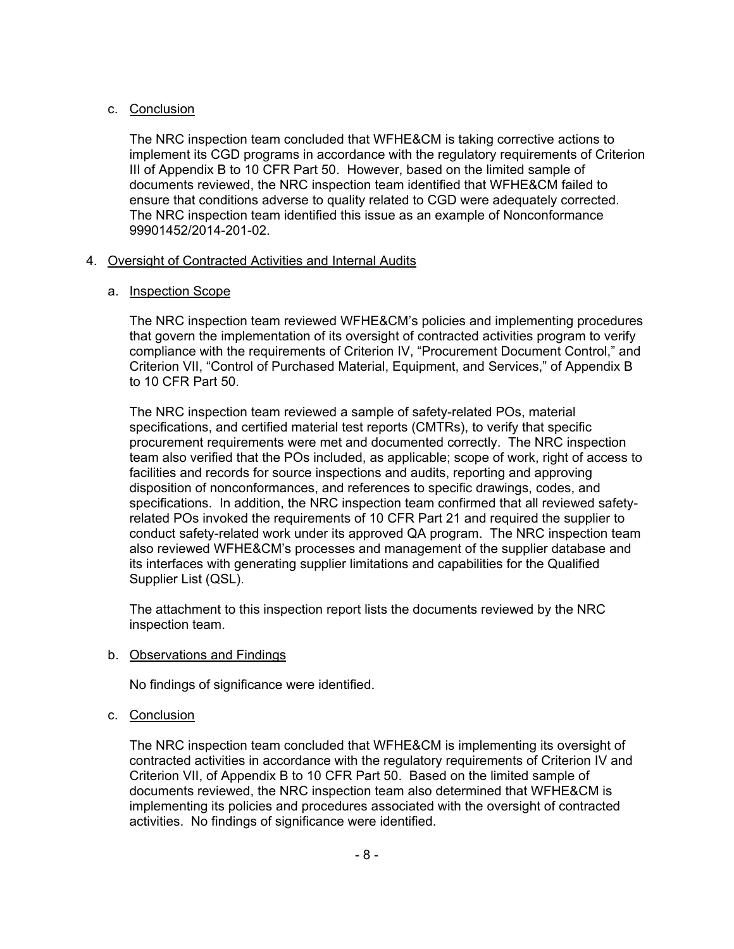## c. Conclusion

The NRC inspection team concluded that WFHE&CM is taking corrective actions to implement its CGD programs in accordance with the regulatory requirements of Criterion III of Appendix B to 10 CFR Part 50. However, based on the limited sample of documents reviewed, the NRC inspection team identified that WFHE&CM failed to ensure that conditions adverse to quality related to CGD were adequately corrected. The NRC inspection team identified this issue as an example of Nonconformance 99901452/2014-201-02.

## 4. Oversight of Contracted Activities and Internal Audits

## a. Inspection Scope

The NRC inspection team reviewed WFHE&CM's policies and implementing procedures that govern the implementation of its oversight of contracted activities program to verify compliance with the requirements of Criterion IV, "Procurement Document Control," and Criterion VII, "Control of Purchased Material, Equipment, and Services," of Appendix B to 10 CFR Part 50.

The NRC inspection team reviewed a sample of safety-related POs, material specifications, and certified material test reports (CMTRs), to verify that specific procurement requirements were met and documented correctly. The NRC inspection team also verified that the POs included, as applicable; scope of work, right of access to facilities and records for source inspections and audits, reporting and approving disposition of nonconformances, and references to specific drawings, codes, and specifications. In addition, the NRC inspection team confirmed that all reviewed safetyrelated POs invoked the requirements of 10 CFR Part 21 and required the supplier to conduct safety-related work under its approved QA program. The NRC inspection team also reviewed WFHE&CM's processes and management of the supplier database and its interfaces with generating supplier limitations and capabilities for the Qualified Supplier List (QSL).

The attachment to this inspection report lists the documents reviewed by the NRC inspection team.

b. Observations and Findings

No findings of significance were identified.

c. Conclusion

The NRC inspection team concluded that WFHE&CM is implementing its oversight of contracted activities in accordance with the regulatory requirements of Criterion IV and Criterion VII, of Appendix B to 10 CFR Part 50. Based on the limited sample of documents reviewed, the NRC inspection team also determined that WFHE&CM is implementing its policies and procedures associated with the oversight of contracted activities. No findings of significance were identified.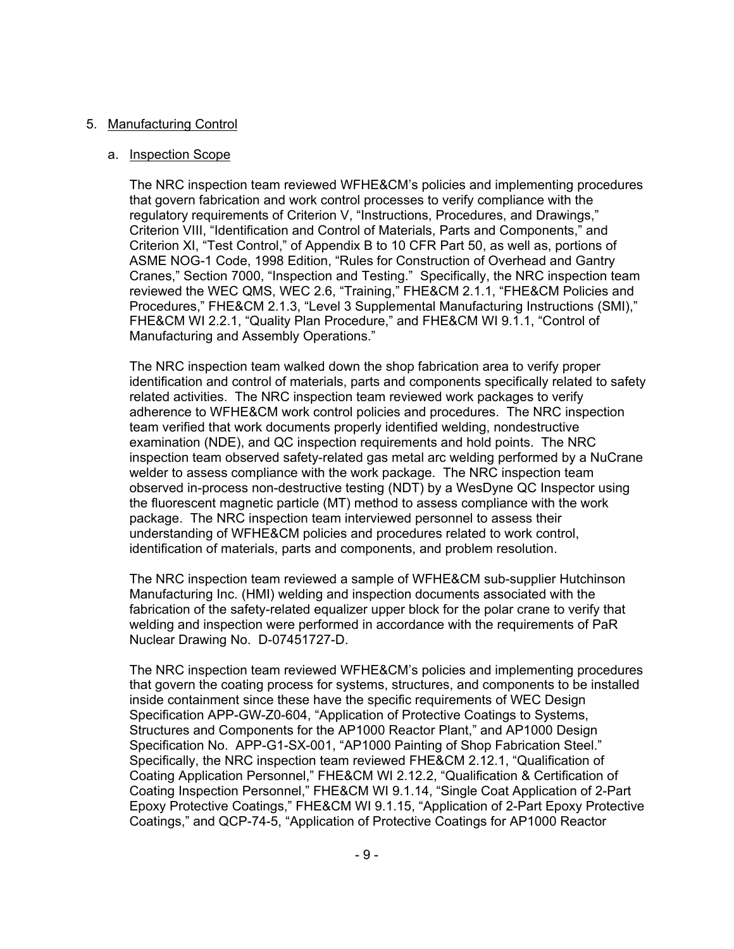### 5. Manufacturing Control

### a. Inspection Scope

The NRC inspection team reviewed WFHE&CM's policies and implementing procedures that govern fabrication and work control processes to verify compliance with the regulatory requirements of Criterion V, "Instructions, Procedures, and Drawings," Criterion VIII, "Identification and Control of Materials, Parts and Components," and Criterion XI, "Test Control," of Appendix B to 10 CFR Part 50, as well as, portions of ASME NOG-1 Code, 1998 Edition, "Rules for Construction of Overhead and Gantry Cranes," Section 7000, "Inspection and Testing." Specifically, the NRC inspection team reviewed the WEC QMS, WEC 2.6, "Training," FHE&CM 2.1.1, "FHE&CM Policies and Procedures," FHE&CM 2.1.3, "Level 3 Supplemental Manufacturing Instructions (SMI)," FHE&CM WI 2.2.1, "Quality Plan Procedure," and FHE&CM WI 9.1.1, "Control of Manufacturing and Assembly Operations."

The NRC inspection team walked down the shop fabrication area to verify proper identification and control of materials, parts and components specifically related to safety related activities. The NRC inspection team reviewed work packages to verify adherence to WFHE&CM work control policies and procedures. The NRC inspection team verified that work documents properly identified welding, nondestructive examination (NDE), and QC inspection requirements and hold points. The NRC inspection team observed safety-related gas metal arc welding performed by a NuCrane welder to assess compliance with the work package. The NRC inspection team observed in-process non-destructive testing (NDT) by a WesDyne QC Inspector using the fluorescent magnetic particle (MT) method to assess compliance with the work package. The NRC inspection team interviewed personnel to assess their understanding of WFHE&CM policies and procedures related to work control, identification of materials, parts and components, and problem resolution.

The NRC inspection team reviewed a sample of WFHE&CM sub-supplier Hutchinson Manufacturing Inc. (HMI) welding and inspection documents associated with the fabrication of the safety-related equalizer upper block for the polar crane to verify that welding and inspection were performed in accordance with the requirements of PaR Nuclear Drawing No. D-07451727-D.

The NRC inspection team reviewed WFHE&CM's policies and implementing procedures that govern the coating process for systems, structures, and components to be installed inside containment since these have the specific requirements of WEC Design Specification APP-GW-Z0-604, "Application of Protective Coatings to Systems, Structures and Components for the AP1000 Reactor Plant," and AP1000 Design Specification No. APP-G1-SX-001, "AP1000 Painting of Shop Fabrication Steel." Specifically, the NRC inspection team reviewed FHE&CM 2.12.1, "Qualification of Coating Application Personnel," FHE&CM WI 2.12.2, "Qualification & Certification of Coating Inspection Personnel," FHE&CM WI 9.1.14, "Single Coat Application of 2-Part Epoxy Protective Coatings," FHE&CM WI 9.1.15, "Application of 2-Part Epoxy Protective Coatings," and QCP-74-5, "Application of Protective Coatings for AP1000 Reactor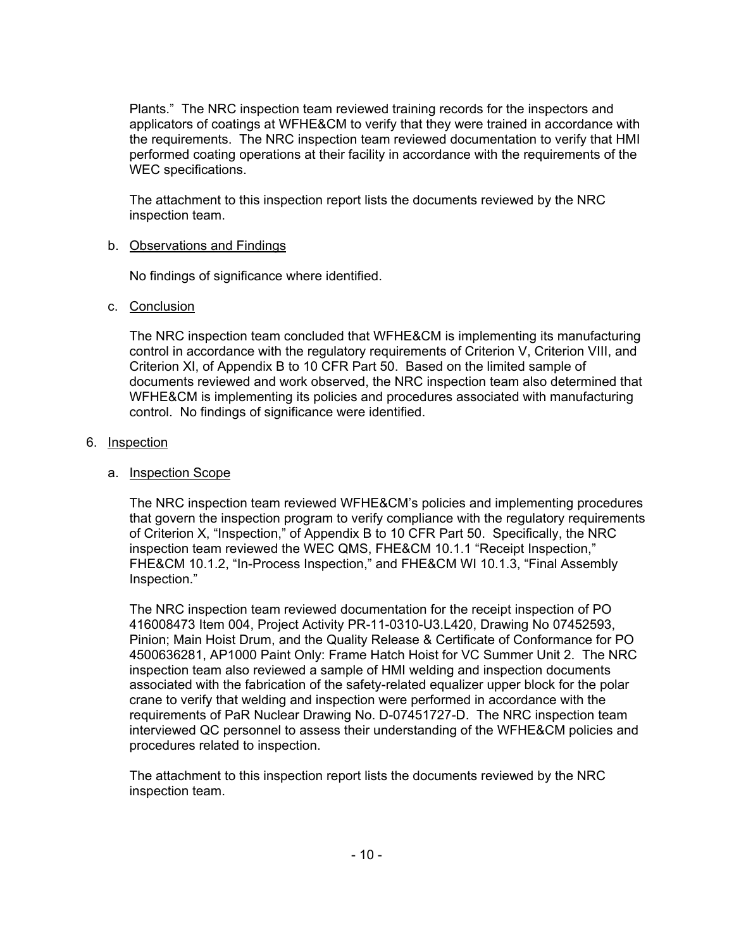Plants." The NRC inspection team reviewed training records for the inspectors and applicators of coatings at WFHE&CM to verify that they were trained in accordance with the requirements. The NRC inspection team reviewed documentation to verify that HMI performed coating operations at their facility in accordance with the requirements of the WEC specifications.

The attachment to this inspection report lists the documents reviewed by the NRC inspection team.

## b. Observations and Findings

No findings of significance where identified.

## c. Conclusion

The NRC inspection team concluded that WFHE&CM is implementing its manufacturing control in accordance with the regulatory requirements of Criterion V, Criterion VIII, and Criterion XI, of Appendix B to 10 CFR Part 50. Based on the limited sample of documents reviewed and work observed, the NRC inspection team also determined that WFHE&CM is implementing its policies and procedures associated with manufacturing control. No findings of significance were identified.

### 6. Inspection

### a. Inspection Scope

The NRC inspection team reviewed WFHE&CM's policies and implementing procedures that govern the inspection program to verify compliance with the regulatory requirements of Criterion X, "Inspection," of Appendix B to 10 CFR Part 50. Specifically, the NRC inspection team reviewed the WEC QMS, FHE&CM 10.1.1 "Receipt Inspection," FHE&CM 10.1.2, "In-Process Inspection," and FHE&CM WI 10.1.3, "Final Assembly Inspection."

The NRC inspection team reviewed documentation for the receipt inspection of PO 416008473 Item 004, Project Activity PR-11-0310-U3.L420, Drawing No 07452593, Pinion; Main Hoist Drum, and the Quality Release & Certificate of Conformance for PO 4500636281, AP1000 Paint Only: Frame Hatch Hoist for VC Summer Unit 2. The NRC inspection team also reviewed a sample of HMI welding and inspection documents associated with the fabrication of the safety-related equalizer upper block for the polar crane to verify that welding and inspection were performed in accordance with the requirements of PaR Nuclear Drawing No. D-07451727-D. The NRC inspection team interviewed QC personnel to assess their understanding of the WFHE&CM policies and procedures related to inspection.

The attachment to this inspection report lists the documents reviewed by the NRC inspection team.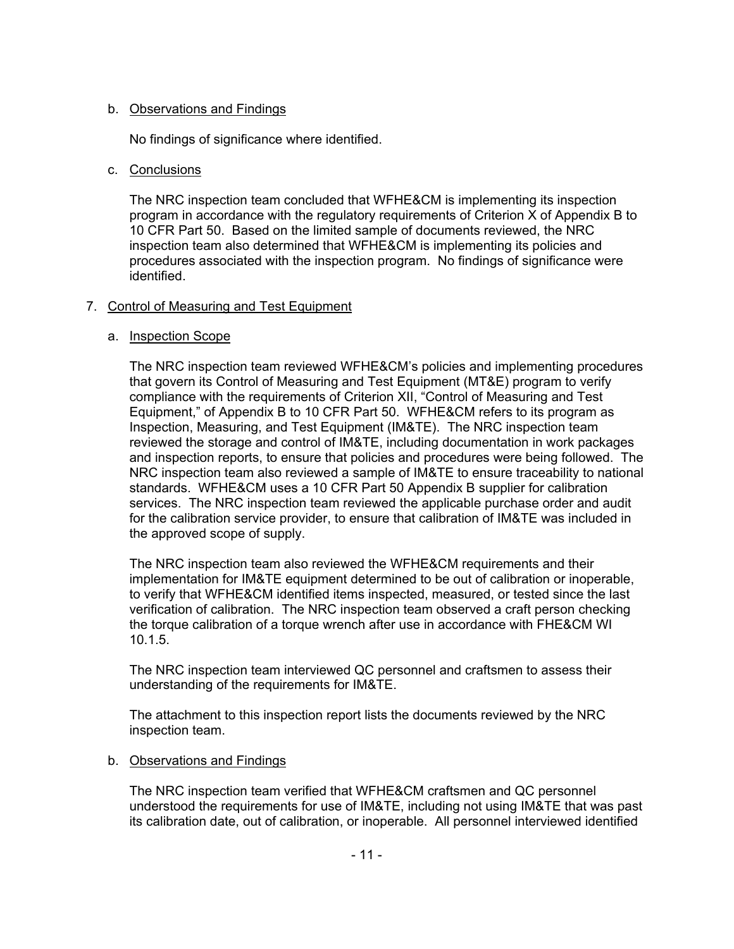# b. Observations and Findings

No findings of significance where identified.

## c. Conclusions

The NRC inspection team concluded that WFHE&CM is implementing its inspection program in accordance with the regulatory requirements of Criterion X of Appendix B to 10 CFR Part 50. Based on the limited sample of documents reviewed, the NRC inspection team also determined that WFHE&CM is implementing its policies and procedures associated with the inspection program. No findings of significance were identified.

## 7. Control of Measuring and Test Equipment

## a. Inspection Scope

The NRC inspection team reviewed WFHE&CM's policies and implementing procedures that govern its Control of Measuring and Test Equipment (MT&E) program to verify compliance with the requirements of Criterion XII, "Control of Measuring and Test Equipment," of Appendix B to 10 CFR Part 50. WFHE&CM refers to its program as Inspection, Measuring, and Test Equipment (IM&TE). The NRC inspection team reviewed the storage and control of IM&TE, including documentation in work packages and inspection reports, to ensure that policies and procedures were being followed. The NRC inspection team also reviewed a sample of IM&TE to ensure traceability to national standards. WFHE&CM uses a 10 CFR Part 50 Appendix B supplier for calibration services. The NRC inspection team reviewed the applicable purchase order and audit for the calibration service provider, to ensure that calibration of IM&TE was included in the approved scope of supply.

The NRC inspection team also reviewed the WFHE&CM requirements and their implementation for IM&TE equipment determined to be out of calibration or inoperable, to verify that WFHE&CM identified items inspected, measured, or tested since the last verification of calibration. The NRC inspection team observed a craft person checking the torque calibration of a torque wrench after use in accordance with FHE&CM WI 10.1.5.

The NRC inspection team interviewed QC personnel and craftsmen to assess their understanding of the requirements for IM&TE.

The attachment to this inspection report lists the documents reviewed by the NRC inspection team.

# b. Observations and Findings

The NRC inspection team verified that WFHE&CM craftsmen and QC personnel understood the requirements for use of IM&TE, including not using IM&TE that was past its calibration date, out of calibration, or inoperable. All personnel interviewed identified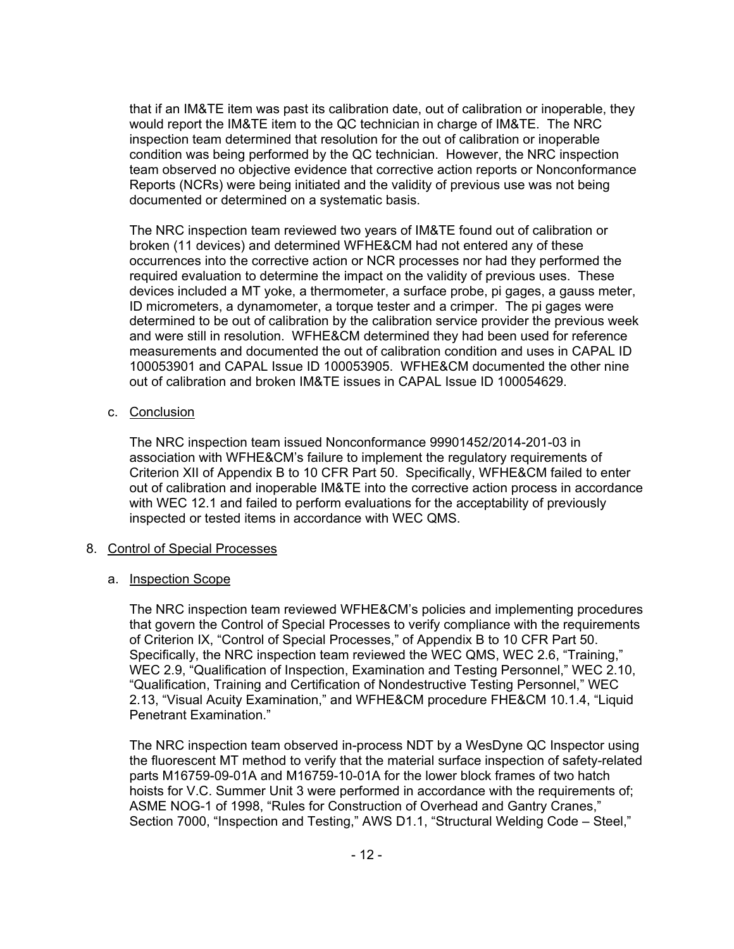that if an IM&TE item was past its calibration date, out of calibration or inoperable, they would report the IM&TE item to the QC technician in charge of IM&TE. The NRC inspection team determined that resolution for the out of calibration or inoperable condition was being performed by the QC technician. However, the NRC inspection team observed no objective evidence that corrective action reports or Nonconformance Reports (NCRs) were being initiated and the validity of previous use was not being documented or determined on a systematic basis.

The NRC inspection team reviewed two years of IM&TE found out of calibration or broken (11 devices) and determined WFHE&CM had not entered any of these occurrences into the corrective action or NCR processes nor had they performed the required evaluation to determine the impact on the validity of previous uses. These devices included a MT yoke, a thermometer, a surface probe, pi gages, a gauss meter, ID micrometers, a dynamometer, a torque tester and a crimper. The pi gages were determined to be out of calibration by the calibration service provider the previous week and were still in resolution. WFHE&CM determined they had been used for reference measurements and documented the out of calibration condition and uses in CAPAL ID 100053901 and CAPAL Issue ID 100053905. WFHE&CM documented the other nine out of calibration and broken IM&TE issues in CAPAL Issue ID 100054629.

## c. Conclusion

The NRC inspection team issued Nonconformance 99901452/2014-201-03 in association with WFHE&CM's failure to implement the regulatory requirements of Criterion XII of Appendix B to 10 CFR Part 50. Specifically, WFHE&CM failed to enter out of calibration and inoperable IM&TE into the corrective action process in accordance with WEC 12.1 and failed to perform evaluations for the acceptability of previously inspected or tested items in accordance with WEC QMS.

#### 8. Control of Special Processes

#### a. Inspection Scope

The NRC inspection team reviewed WFHE&CM's policies and implementing procedures that govern the Control of Special Processes to verify compliance with the requirements of Criterion IX, "Control of Special Processes," of Appendix B to 10 CFR Part 50. Specifically, the NRC inspection team reviewed the WEC QMS, WEC 2.6, "Training," WEC 2.9, "Qualification of Inspection, Examination and Testing Personnel," WEC 2.10, "Qualification, Training and Certification of Nondestructive Testing Personnel," WEC 2.13, "Visual Acuity Examination," and WFHE&CM procedure FHE&CM 10.1.4, "Liquid Penetrant Examination."

The NRC inspection team observed in-process NDT by a WesDyne QC Inspector using the fluorescent MT method to verify that the material surface inspection of safety-related parts M16759-09-01A and M16759-10-01A for the lower block frames of two hatch hoists for V.C. Summer Unit 3 were performed in accordance with the requirements of; ASME NOG-1 of 1998, "Rules for Construction of Overhead and Gantry Cranes," Section 7000, "Inspection and Testing," AWS D1.1, "Structural Welding Code – Steel,"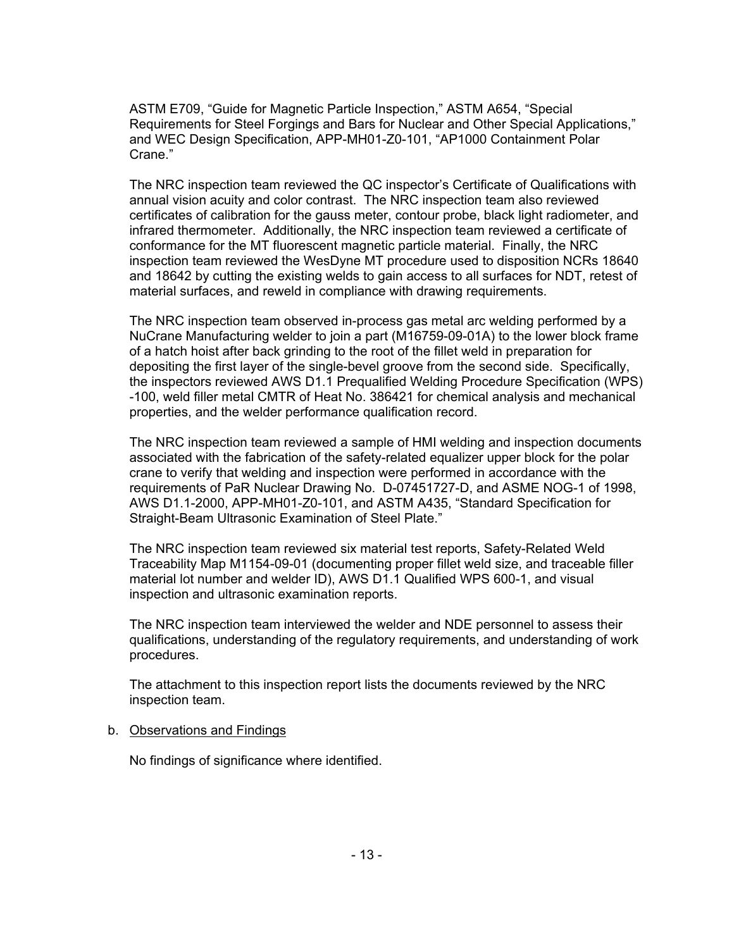ASTM E709, "Guide for Magnetic Particle Inspection," ASTM A654, "Special Requirements for Steel Forgings and Bars for Nuclear and Other Special Applications," and WEC Design Specification, APP-MH01-Z0-101, "AP1000 Containment Polar Crane."

The NRC inspection team reviewed the QC inspector's Certificate of Qualifications with annual vision acuity and color contrast. The NRC inspection team also reviewed certificates of calibration for the gauss meter, contour probe, black light radiometer, and infrared thermometer. Additionally, the NRC inspection team reviewed a certificate of conformance for the MT fluorescent magnetic particle material. Finally, the NRC inspection team reviewed the WesDyne MT procedure used to disposition NCRs 18640 and 18642 by cutting the existing welds to gain access to all surfaces for NDT, retest of material surfaces, and reweld in compliance with drawing requirements.

The NRC inspection team observed in-process gas metal arc welding performed by a NuCrane Manufacturing welder to join a part (M16759-09-01A) to the lower block frame of a hatch hoist after back grinding to the root of the fillet weld in preparation for depositing the first layer of the single-bevel groove from the second side. Specifically, the inspectors reviewed AWS D1.1 Prequalified Welding Procedure Specification (WPS) -100, weld filler metal CMTR of Heat No. 386421 for chemical analysis and mechanical properties, and the welder performance qualification record.

The NRC inspection team reviewed a sample of HMI welding and inspection documents associated with the fabrication of the safety-related equalizer upper block for the polar crane to verify that welding and inspection were performed in accordance with the requirements of PaR Nuclear Drawing No. D-07451727-D, and ASME NOG-1 of 1998, AWS D1.1-2000, APP-MH01-Z0-101, and ASTM A435, "Standard Specification for Straight-Beam Ultrasonic Examination of Steel Plate."

The NRC inspection team reviewed six material test reports, Safety-Related Weld Traceability Map M1154-09-01 (documenting proper fillet weld size, and traceable filler material lot number and welder ID), AWS D1.1 Qualified WPS 600-1, and visual inspection and ultrasonic examination reports.

The NRC inspection team interviewed the welder and NDE personnel to assess their qualifications, understanding of the regulatory requirements, and understanding of work procedures.

The attachment to this inspection report lists the documents reviewed by the NRC inspection team.

#### b. Observations and Findings

No findings of significance where identified.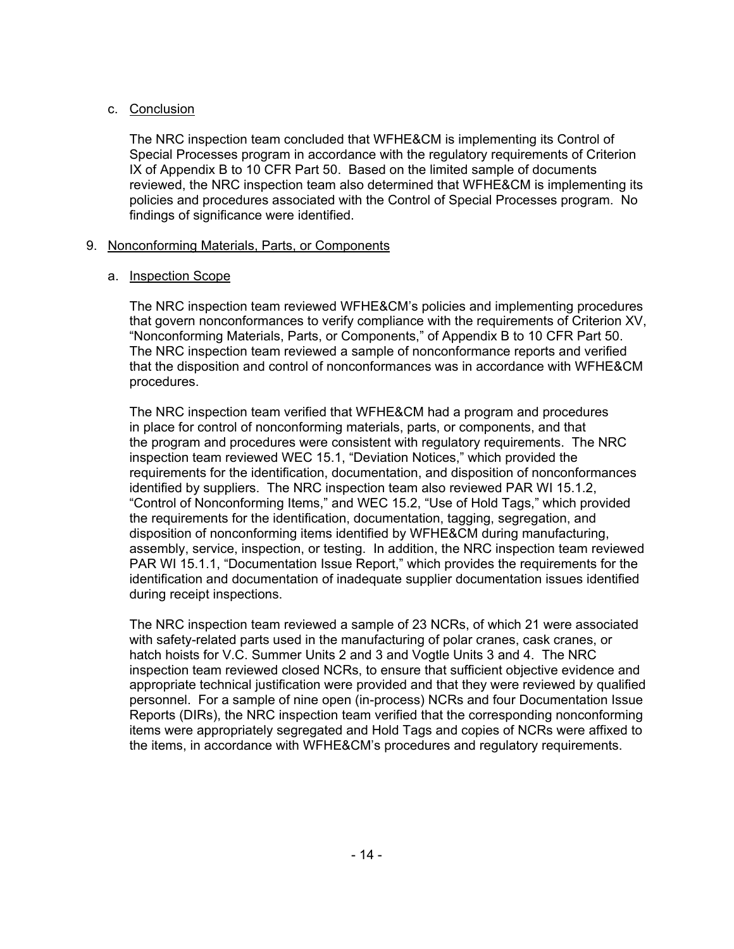## c. Conclusion

The NRC inspection team concluded that WFHE&CM is implementing its Control of Special Processes program in accordance with the regulatory requirements of Criterion IX of Appendix B to 10 CFR Part 50. Based on the limited sample of documents reviewed, the NRC inspection team also determined that WFHE&CM is implementing its policies and procedures associated with the Control of Special Processes program. No findings of significance were identified.

## 9. Nonconforming Materials, Parts, or Components

## a. Inspection Scope

The NRC inspection team reviewed WFHE&CM's policies and implementing procedures that govern nonconformances to verify compliance with the requirements of Criterion XV, "Nonconforming Materials, Parts, or Components," of Appendix B to 10 CFR Part 50. The NRC inspection team reviewed a sample of nonconformance reports and verified that the disposition and control of nonconformances was in accordance with WFHE&CM procedures.

The NRC inspection team verified that WFHE&CM had a program and procedures in place for control of nonconforming materials, parts, or components, and that the program and procedures were consistent with regulatory requirements. The NRC inspection team reviewed WEC 15.1, "Deviation Notices," which provided the requirements for the identification, documentation, and disposition of nonconformances identified by suppliers. The NRC inspection team also reviewed PAR WI 15.1.2, "Control of Nonconforming Items," and WEC 15.2, "Use of Hold Tags," which provided the requirements for the identification, documentation, tagging, segregation, and disposition of nonconforming items identified by WFHE&CM during manufacturing, assembly, service, inspection, or testing. In addition, the NRC inspection team reviewed PAR WI 15.1.1, "Documentation Issue Report," which provides the requirements for the identification and documentation of inadequate supplier documentation issues identified during receipt inspections.

The NRC inspection team reviewed a sample of 23 NCRs, of which 21 were associated with safety-related parts used in the manufacturing of polar cranes, cask cranes, or hatch hoists for V.C. Summer Units 2 and 3 and Vogtle Units 3 and 4. The NRC inspection team reviewed closed NCRs, to ensure that sufficient objective evidence and appropriate technical justification were provided and that they were reviewed by qualified personnel. For a sample of nine open (in-process) NCRs and four Documentation Issue Reports (DIRs), the NRC inspection team verified that the corresponding nonconforming items were appropriately segregated and Hold Tags and copies of NCRs were affixed to the items, in accordance with WFHE&CM's procedures and regulatory requirements.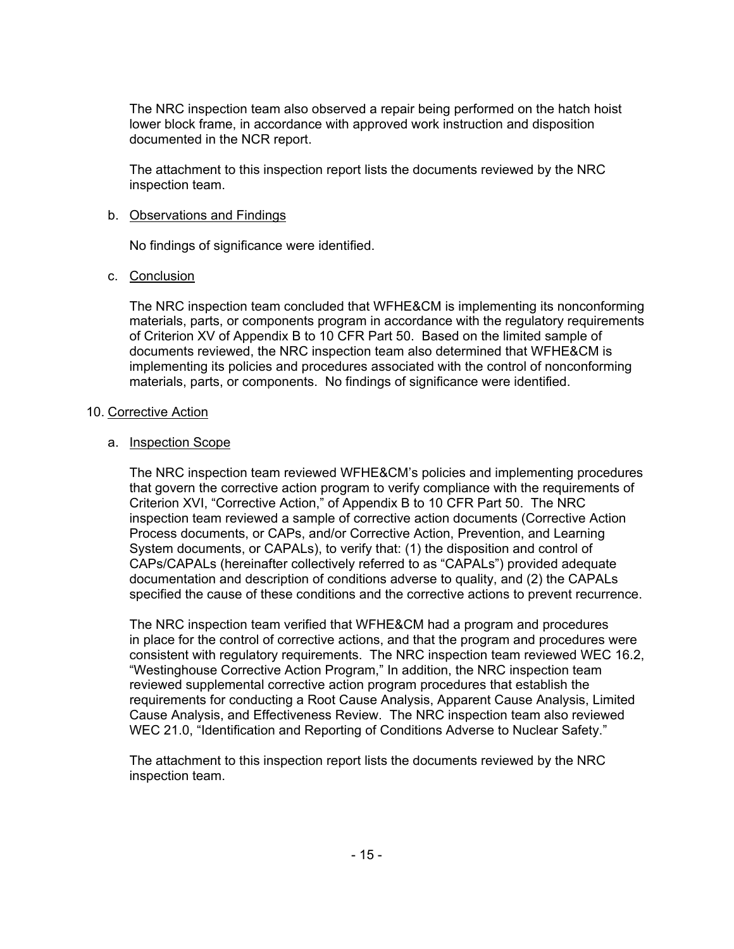The NRC inspection team also observed a repair being performed on the hatch hoist lower block frame, in accordance with approved work instruction and disposition documented in the NCR report.

The attachment to this inspection report lists the documents reviewed by the NRC inspection team.

### b. Observations and Findings

No findings of significance were identified.

## c. Conclusion

The NRC inspection team concluded that WFHE&CM is implementing its nonconforming materials, parts, or components program in accordance with the regulatory requirements of Criterion XV of Appendix B to 10 CFR Part 50. Based on the limited sample of documents reviewed, the NRC inspection team also determined that WFHE&CM is implementing its policies and procedures associated with the control of nonconforming materials, parts, or components. No findings of significance were identified.

### 10. Corrective Action

### a. Inspection Scope

The NRC inspection team reviewed WFHE&CM's policies and implementing procedures that govern the corrective action program to verify compliance with the requirements of Criterion XVI, "Corrective Action," of Appendix B to 10 CFR Part 50. The NRC inspection team reviewed a sample of corrective action documents (Corrective Action Process documents, or CAPs, and/or Corrective Action, Prevention, and Learning System documents, or CAPALs), to verify that: (1) the disposition and control of CAPs/CAPALs (hereinafter collectively referred to as "CAPALs") provided adequate documentation and description of conditions adverse to quality, and (2) the CAPALs specified the cause of these conditions and the corrective actions to prevent recurrence.

The NRC inspection team verified that WFHE&CM had a program and procedures in place for the control of corrective actions, and that the program and procedures were consistent with regulatory requirements. The NRC inspection team reviewed WEC 16.2, "Westinghouse Corrective Action Program," In addition, the NRC inspection team reviewed supplemental corrective action program procedures that establish the requirements for conducting a Root Cause Analysis, Apparent Cause Analysis, Limited Cause Analysis, and Effectiveness Review. The NRC inspection team also reviewed WEC 21.0, "Identification and Reporting of Conditions Adverse to Nuclear Safety."

The attachment to this inspection report lists the documents reviewed by the NRC inspection team.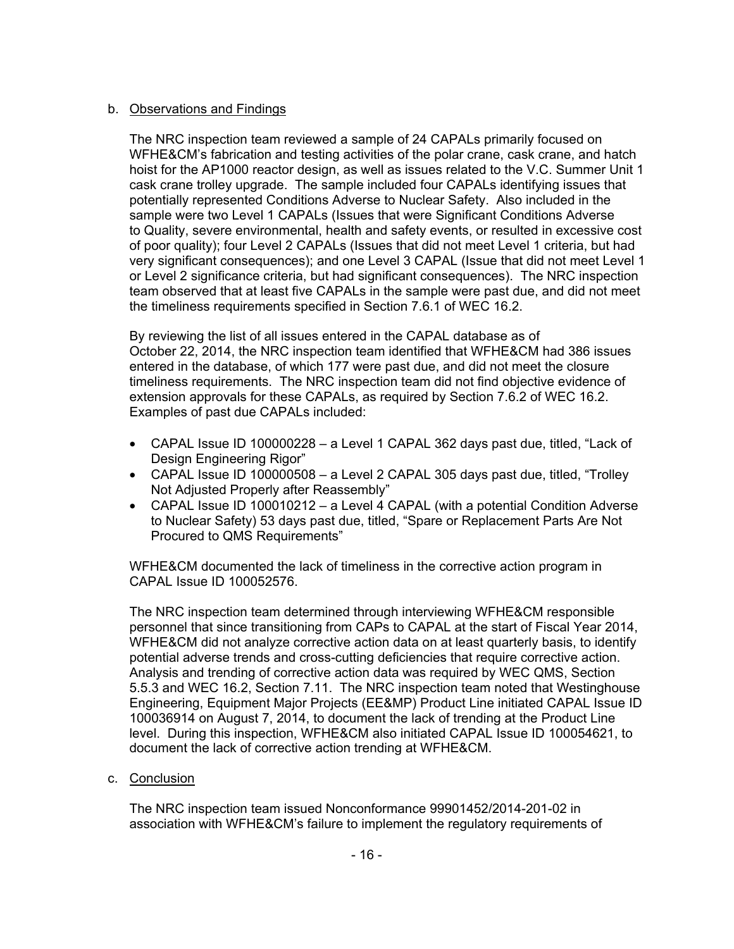## b. Observations and Findings

The NRC inspection team reviewed a sample of 24 CAPALs primarily focused on WFHE&CM's fabrication and testing activities of the polar crane, cask crane, and hatch hoist for the AP1000 reactor design, as well as issues related to the V.C. Summer Unit 1 cask crane trolley upgrade. The sample included four CAPALs identifying issues that potentially represented Conditions Adverse to Nuclear Safety. Also included in the sample were two Level 1 CAPALs (Issues that were Significant Conditions Adverse to Quality, severe environmental, health and safety events, or resulted in excessive cost of poor quality); four Level 2 CAPALs (Issues that did not meet Level 1 criteria, but had very significant consequences); and one Level 3 CAPAL (Issue that did not meet Level 1 or Level 2 significance criteria, but had significant consequences). The NRC inspection team observed that at least five CAPALs in the sample were past due, and did not meet the timeliness requirements specified in Section 7.6.1 of WEC 16.2.

By reviewing the list of all issues entered in the CAPAL database as of October 22, 2014, the NRC inspection team identified that WFHE&CM had 386 issues entered in the database, of which 177 were past due, and did not meet the closure timeliness requirements. The NRC inspection team did not find objective evidence of extension approvals for these CAPALs, as required by Section 7.6.2 of WEC 16.2. Examples of past due CAPALs included:

- CAPAL Issue ID 100000228 a Level 1 CAPAL 362 days past due, titled, "Lack of Design Engineering Rigor"
- CAPAL Issue ID 100000508 a Level 2 CAPAL 305 days past due, titled, "Trolley Not Adjusted Properly after Reassembly"
- CAPAL Issue ID 100010212 a Level 4 CAPAL (with a potential Condition Adverse to Nuclear Safety) 53 days past due, titled, "Spare or Replacement Parts Are Not Procured to QMS Requirements"

WFHE&CM documented the lack of timeliness in the corrective action program in CAPAL Issue ID 100052576.

The NRC inspection team determined through interviewing WFHE&CM responsible personnel that since transitioning from CAPs to CAPAL at the start of Fiscal Year 2014, WFHE&CM did not analyze corrective action data on at least quarterly basis, to identify potential adverse trends and cross-cutting deficiencies that require corrective action. Analysis and trending of corrective action data was required by WEC QMS, Section 5.5.3 and WEC 16.2, Section 7.11. The NRC inspection team noted that Westinghouse Engineering, Equipment Major Projects (EE&MP) Product Line initiated CAPAL Issue ID 100036914 on August 7, 2014, to document the lack of trending at the Product Line level. During this inspection, WFHE&CM also initiated CAPAL Issue ID 100054621, to document the lack of corrective action trending at WFHE&CM.

c. Conclusion

The NRC inspection team issued Nonconformance 99901452/2014-201-02 in association with WFHE&CM's failure to implement the regulatory requirements of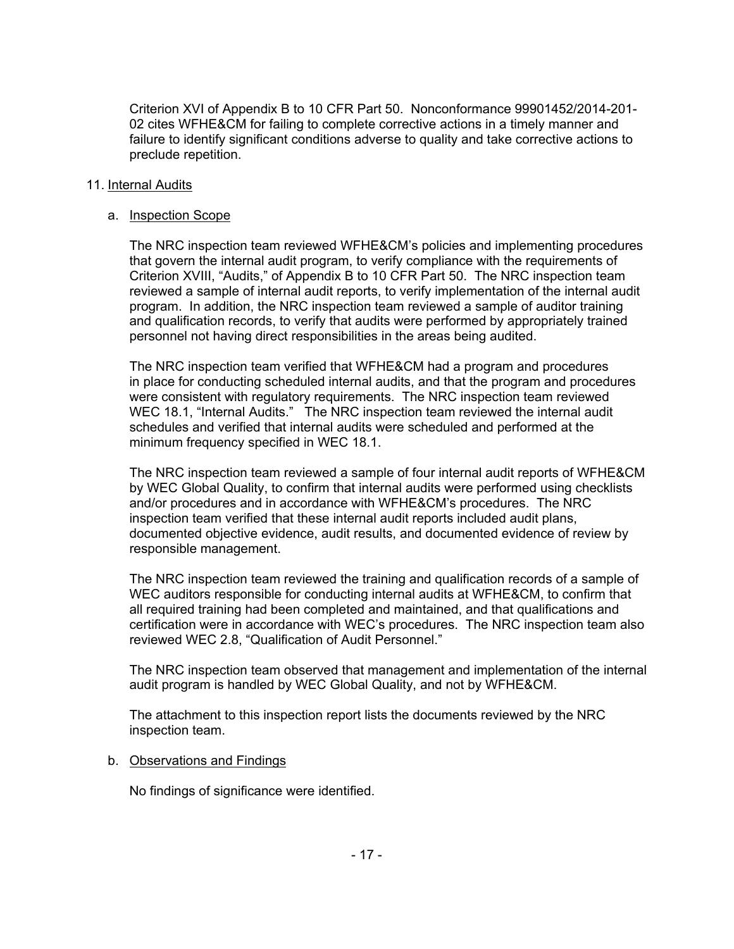Criterion XVI of Appendix B to 10 CFR Part 50. Nonconformance 99901452/2014-201- 02 cites WFHE&CM for failing to complete corrective actions in a timely manner and failure to identify significant conditions adverse to quality and take corrective actions to preclude repetition.

### 11. Internal Audits

### a. Inspection Scope

The NRC inspection team reviewed WFHE&CM's policies and implementing procedures that govern the internal audit program, to verify compliance with the requirements of Criterion XVIII, "Audits," of Appendix B to 10 CFR Part 50. The NRC inspection team reviewed a sample of internal audit reports, to verify implementation of the internal audit program. In addition, the NRC inspection team reviewed a sample of auditor training and qualification records, to verify that audits were performed by appropriately trained personnel not having direct responsibilities in the areas being audited.

The NRC inspection team verified that WFHE&CM had a program and procedures in place for conducting scheduled internal audits, and that the program and procedures were consistent with regulatory requirements. The NRC inspection team reviewed WEC 18.1, "Internal Audits." The NRC inspection team reviewed the internal audit schedules and verified that internal audits were scheduled and performed at the minimum frequency specified in WEC 18.1.

The NRC inspection team reviewed a sample of four internal audit reports of WFHE&CM by WEC Global Quality, to confirm that internal audits were performed using checklists and/or procedures and in accordance with WFHE&CM's procedures. The NRC inspection team verified that these internal audit reports included audit plans, documented objective evidence, audit results, and documented evidence of review by responsible management.

The NRC inspection team reviewed the training and qualification records of a sample of WEC auditors responsible for conducting internal audits at WFHE&CM, to confirm that all required training had been completed and maintained, and that qualifications and certification were in accordance with WEC's procedures. The NRC inspection team also reviewed WEC 2.8, "Qualification of Audit Personnel."

The NRC inspection team observed that management and implementation of the internal audit program is handled by WEC Global Quality, and not by WFHE&CM.

The attachment to this inspection report lists the documents reviewed by the NRC inspection team.

#### b. Observations and Findings

No findings of significance were identified.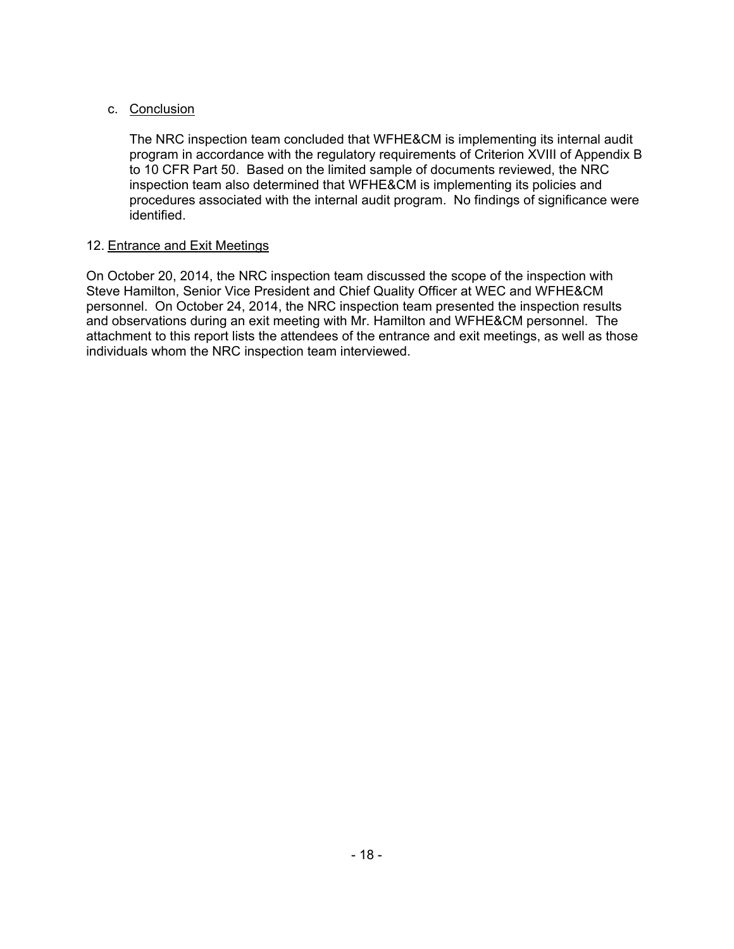## c. Conclusion

The NRC inspection team concluded that WFHE&CM is implementing its internal audit program in accordance with the regulatory requirements of Criterion XVIII of Appendix B to 10 CFR Part 50. Based on the limited sample of documents reviewed, the NRC inspection team also determined that WFHE&CM is implementing its policies and procedures associated with the internal audit program. No findings of significance were identified.

## 12. Entrance and Exit Meetings

On October 20, 2014, the NRC inspection team discussed the scope of the inspection with Steve Hamilton, Senior Vice President and Chief Quality Officer at WEC and WFHE&CM personnel. On October 24, 2014, the NRC inspection team presented the inspection results and observations during an exit meeting with Mr. Hamilton and WFHE&CM personnel. The attachment to this report lists the attendees of the entrance and exit meetings, as well as those individuals whom the NRC inspection team interviewed.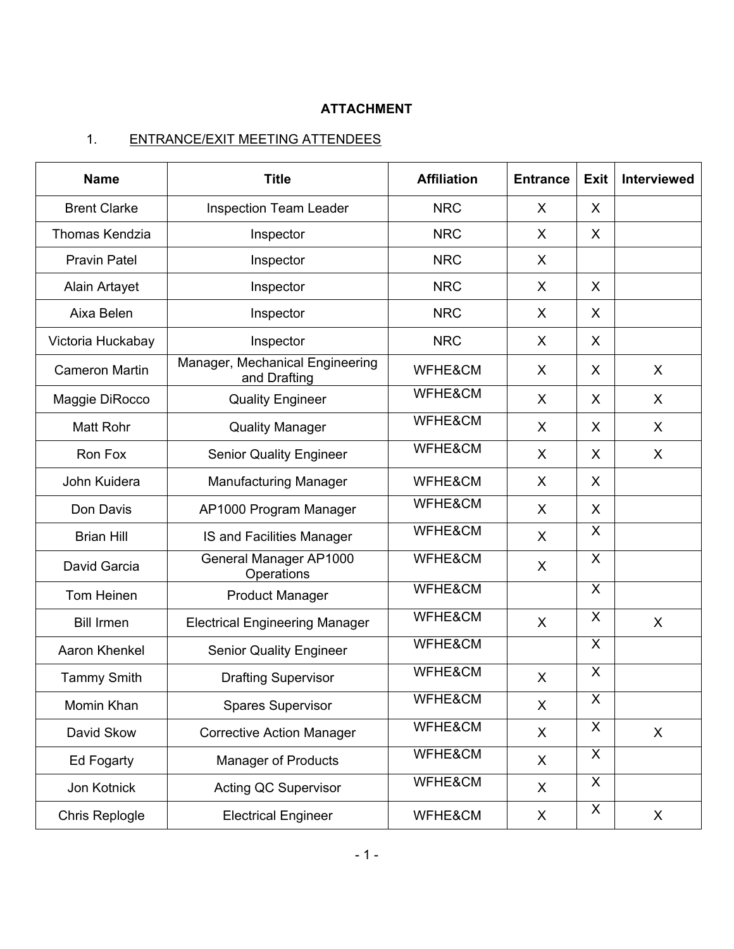# **ATTACHMENT**

# 1. ENTRANCE/EXIT MEETING ATTENDEES

| <b>Name</b>           | <b>Title</b>                                    | <b>Affiliation</b> | <b>Entrance</b> | <b>Exit</b>    | Interviewed |
|-----------------------|-------------------------------------------------|--------------------|-----------------|----------------|-------------|
| <b>Brent Clarke</b>   | <b>Inspection Team Leader</b>                   | <b>NRC</b>         | $\sf X$         | $\mathsf{X}$   |             |
| Thomas Kendzia        | Inspector                                       | <b>NRC</b>         | X               | $\sf X$        |             |
| <b>Pravin Patel</b>   | Inspector                                       | <b>NRC</b>         | X               |                |             |
| <b>Alain Artayet</b>  | Inspector                                       | <b>NRC</b>         | X               | X              |             |
| Aixa Belen            | Inspector                                       | <b>NRC</b>         | X               | X              |             |
| Victoria Huckabay     | Inspector                                       | <b>NRC</b>         | X               | X              |             |
| <b>Cameron Martin</b> | Manager, Mechanical Engineering<br>and Drafting | WFHE&CM            | X               | X              | X           |
| Maggie DiRocco        | <b>Quality Engineer</b>                         | WFHE&CM            | X               | X              | X           |
| <b>Matt Rohr</b>      | <b>Quality Manager</b>                          | WFHE&CM            | $\sf X$         | $\sf X$        | X           |
| Ron Fox               | <b>Senior Quality Engineer</b>                  | WFHE&CM            | X               | $\mathsf{X}$   | X           |
| John Kuidera          | <b>Manufacturing Manager</b>                    | WFHE&CM            | $\sf X$         | $\mathsf{X}$   |             |
| Don Davis             | AP1000 Program Manager                          | WFHE&CM            | X               | $\mathsf{X}$   |             |
| <b>Brian Hill</b>     | IS and Facilities Manager                       | WFHE&CM            | X               | $\mathsf{X}$   |             |
| David Garcia          | General Manager AP1000<br>Operations            | WFHE&CM            | X               | X              |             |
| Tom Heinen            | <b>Product Manager</b>                          | WFHE&CM            |                 | X              |             |
| <b>Bill Irmen</b>     | <b>Electrical Engineering Manager</b>           | WFHE&CM            | X               | $\mathsf{X}$   | X           |
| Aaron Khenkel         | <b>Senior Quality Engineer</b>                  | WFHE&CM            |                 | X              |             |
| <b>Tammy Smith</b>    | <b>Drafting Supervisor</b>                      | WFHE&CM            | X               | X              |             |
| Momin Khan            | <b>Spares Supervisor</b>                        | WFHE&CM            | X               | $\overline{X}$ |             |
| David Skow            | <b>Corrective Action Manager</b>                | WFHE&CM            | X               | X              | X           |
| Ed Fogarty            | <b>Manager of Products</b>                      | WFHE&CM            | X               | X              |             |
| Jon Kotnick           | <b>Acting QC Supervisor</b>                     | WFHE&CM            | X               | $\mathsf{X}$   |             |
| Chris Replogle        | <b>Electrical Engineer</b>                      | WFHE&CM            | X               | X              | X           |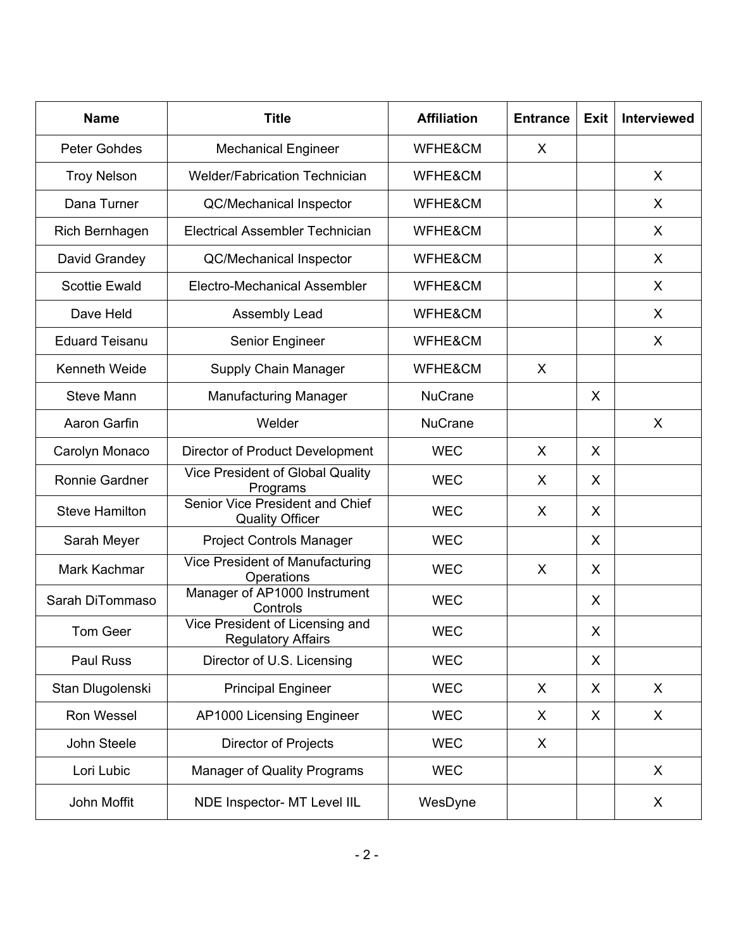| <b>Name</b>           | <b>Title</b>                                                 | <b>Affiliation</b> | <b>Entrance</b> | <b>Exit</b> | Interviewed |
|-----------------------|--------------------------------------------------------------|--------------------|-----------------|-------------|-------------|
| <b>Peter Gohdes</b>   | <b>Mechanical Engineer</b>                                   | WFHE&CM            | X               |             |             |
| <b>Troy Nelson</b>    | <b>Welder/Fabrication Technician</b>                         | WFHE&CM            |                 |             | X           |
| Dana Turner           | <b>QC/Mechanical Inspector</b>                               | WFHE&CM            |                 |             | X           |
| Rich Bernhagen        | <b>Electrical Assembler Technician</b>                       | WFHE&CM            |                 |             | X           |
| David Grandey         | <b>QC/Mechanical Inspector</b>                               | WFHE&CM            |                 |             | X           |
| <b>Scottie Ewald</b>  | Electro-Mechanical Assembler                                 | WFHE&CM            |                 |             | X           |
| Dave Held             | Assembly Lead                                                | WFHE&CM            |                 |             | X           |
| <b>Eduard Teisanu</b> | Senior Engineer                                              | WFHE&CM            |                 |             | X           |
| Kenneth Weide         | Supply Chain Manager                                         | WFHE&CM            | X               |             |             |
| <b>Steve Mann</b>     | <b>Manufacturing Manager</b>                                 |                    |                 | X           |             |
| Aaron Garfin          | Welder                                                       |                    |                 |             | X           |
| Carolyn Monaco        | Director of Product Development                              |                    | X               | X           |             |
| Ronnie Gardner        | Vice President of Global Quality<br>Programs                 |                    | X               | X           |             |
| <b>Steve Hamilton</b> | Senior Vice President and Chief<br><b>Quality Officer</b>    |                    | X               | X           |             |
| Sarah Meyer           | <b>Project Controls Manager</b>                              |                    |                 | X           |             |
| Mark Kachmar          | <b>Vice President of Manufacturing</b><br>Operations         | <b>WEC</b>         | X               | X           |             |
| Sarah DiTommaso       | Manager of AP1000 Instrument<br>Controls                     | <b>WEC</b>         |                 | X           |             |
| Tom Geer              | Vice President of Licensing and<br><b>Regulatory Affairs</b> | <b>WEC</b>         |                 | X           |             |
| Paul Russ             | Director of U.S. Licensing                                   |                    |                 | X           |             |
| Stan Dlugolenski      | <b>Principal Engineer</b>                                    | <b>WEC</b>         | X               | X           | X           |
| Ron Wessel            | AP1000 Licensing Engineer                                    | <b>WEC</b>         | X               | X           | X           |
| John Steele           | Director of Projects                                         | <b>WEC</b>         | X               |             |             |
| Lori Lubic            | <b>Manager of Quality Programs</b>                           | <b>WEC</b>         |                 |             | X           |
| John Moffit           | NDE Inspector- MT Level IIL                                  | WesDyne            |                 |             | X           |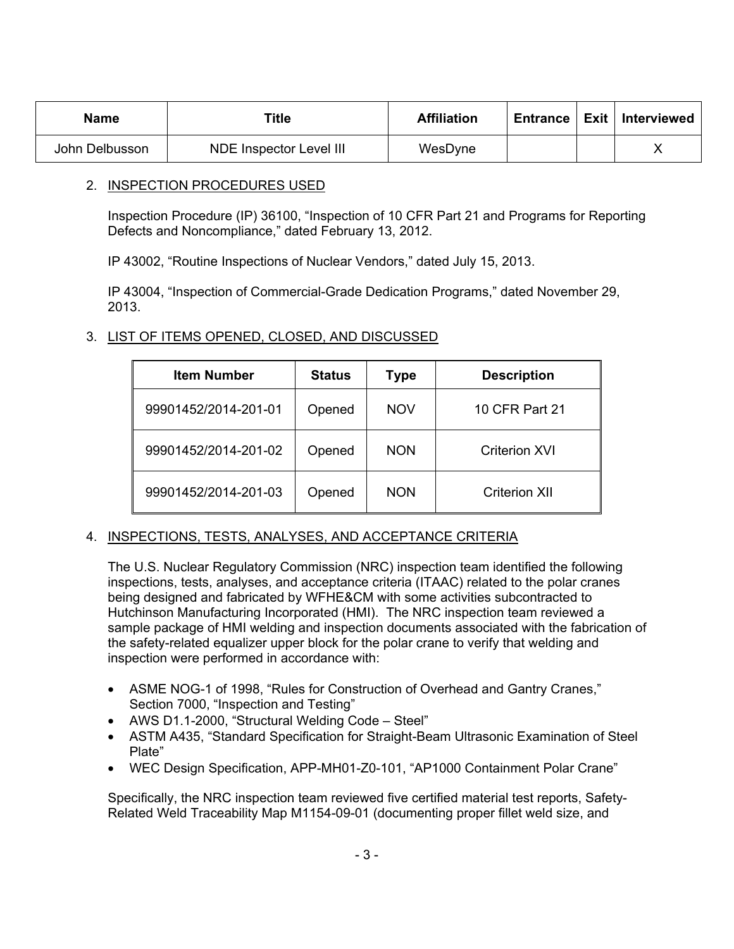| Name                                      | Title | <b>Affiliation</b> |  | Entrance   Exit   Interviewed |
|-------------------------------------------|-------|--------------------|--|-------------------------------|
| NDE Inspector Level III<br>John Delbusson |       | WesDyne            |  |                               |

## 2. INSPECTION PROCEDURES USED

Inspection Procedure (IP) 36100, "Inspection of 10 CFR Part 21 and Programs for Reporting Defects and Noncompliance," dated February 13, 2012.

IP 43002, "Routine Inspections of Nuclear Vendors," dated July 15, 2013.

IP 43004, "Inspection of Commercial-Grade Dedication Programs," dated November 29, 2013.

## 3. LIST OF ITEMS OPENED, CLOSED, AND DISCUSSED

| <b>Item Number</b>   | <b>Status</b> | Type       | <b>Description</b>   |
|----------------------|---------------|------------|----------------------|
| 99901452/2014-201-01 | Opened        | <b>NOV</b> | 10 CFR Part 21       |
| 99901452/2014-201-02 | Opened        | <b>NON</b> | <b>Criterion XVI</b> |
| 99901452/2014-201-03 | Opened        | <b>NON</b> | <b>Criterion XII</b> |

# 4. INSPECTIONS, TESTS, ANALYSES, AND ACCEPTANCE CRITERIA

The U.S. Nuclear Regulatory Commission (NRC) inspection team identified the following inspections, tests, analyses, and acceptance criteria (ITAAC) related to the polar cranes being designed and fabricated by WFHE&CM with some activities subcontracted to Hutchinson Manufacturing Incorporated (HMI). The NRC inspection team reviewed a sample package of HMI welding and inspection documents associated with the fabrication of the safety-related equalizer upper block for the polar crane to verify that welding and inspection were performed in accordance with:

- ASME NOG-1 of 1998, "Rules for Construction of Overhead and Gantry Cranes," Section 7000, "Inspection and Testing"
- AWS D1.1-2000, "Structural Welding Code Steel"
- ASTM A435, "Standard Specification for Straight-Beam Ultrasonic Examination of Steel Plate"
- WEC Design Specification, APP-MH01-Z0-101, "AP1000 Containment Polar Crane"

Specifically, the NRC inspection team reviewed five certified material test reports, Safety-Related Weld Traceability Map M1154-09-01 (documenting proper fillet weld size, and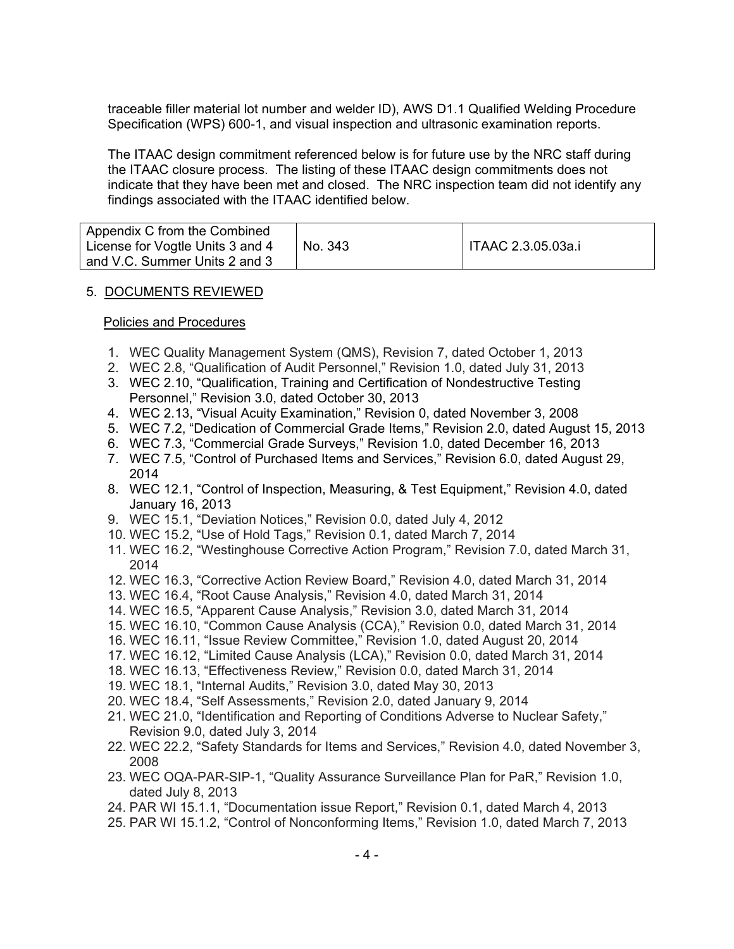traceable filler material lot number and welder ID), AWS D1.1 Qualified Welding Procedure Specification (WPS) 600-1, and visual inspection and ultrasonic examination reports.

The ITAAC design commitment referenced below is for future use by the NRC staff during the ITAAC closure process. The listing of these ITAAC design commitments does not indicate that they have been met and closed. The NRC inspection team did not identify any findings associated with the ITAAC identified below.

| Appendix C from the Combined<br>License for Vogtle Units 3 and 4 | No. 343 | ITAAC 2.3.05.03a.i |
|------------------------------------------------------------------|---------|--------------------|
| and V.C. Summer Units 2 and 3                                    |         |                    |

### 5. DOCUMENTS REVIEWED

#### Policies and Procedures

- 1. WEC Quality Management System (QMS), Revision 7, dated October 1, 2013
- 2. WEC 2.8, "Qualification of Audit Personnel," Revision 1.0, dated July 31, 2013
- 3. WEC 2.10, "Qualification, Training and Certification of Nondestructive Testing Personnel," Revision 3.0, dated October 30, 2013
- 4. WEC 2.13, "Visual Acuity Examination," Revision 0, dated November 3, 2008
- 5. WEC 7.2, "Dedication of Commercial Grade Items," Revision 2.0, dated August 15, 2013
- 6. WEC 7.3, "Commercial Grade Surveys," Revision 1.0, dated December 16, 2013
- 7. WEC 7.5, "Control of Purchased Items and Services," Revision 6.0, dated August 29, 2014
- 8. WEC 12.1, "Control of Inspection, Measuring, & Test Equipment," Revision 4.0, dated January 16, 2013
- 9. WEC 15.1, "Deviation Notices," Revision 0.0, dated July 4, 2012
- 10. WEC 15.2, "Use of Hold Tags," Revision 0.1, dated March 7, 2014
- 11. WEC 16.2, "Westinghouse Corrective Action Program," Revision 7.0, dated March 31, 2014
- 12. WEC 16.3, "Corrective Action Review Board," Revision 4.0, dated March 31, 2014
- 13. WEC 16.4, "Root Cause Analysis," Revision 4.0, dated March 31, 2014
- 14. WEC 16.5, "Apparent Cause Analysis," Revision 3.0, dated March 31, 2014
- 15. WEC 16.10, "Common Cause Analysis (CCA)," Revision 0.0, dated March 31, 2014
- 16. WEC 16.11, "Issue Review Committee," Revision 1.0, dated August 20, 2014
- 17. WEC 16.12, "Limited Cause Analysis (LCA)," Revision 0.0, dated March 31, 2014
- 18. WEC 16.13, "Effectiveness Review," Revision 0.0, dated March 31, 2014
- 19. WEC 18.1, "Internal Audits," Revision 3.0, dated May 30, 2013
- 20. WEC 18.4, "Self Assessments," Revision 2.0, dated January 9, 2014
- 21. WEC 21.0, "Identification and Reporting of Conditions Adverse to Nuclear Safety," Revision 9.0, dated July 3, 2014
- 22. WEC 22.2, "Safety Standards for Items and Services," Revision 4.0, dated November 3, 2008
- 23. WEC OQA-PAR-SIP-1, "Quality Assurance Surveillance Plan for PaR," Revision 1.0, dated July 8, 2013
- 24. PAR WI 15.1.1, "Documentation issue Report," Revision 0.1, dated March 4, 2013
- 25. PAR WI 15.1.2, "Control of Nonconforming Items," Revision 1.0, dated March 7, 2013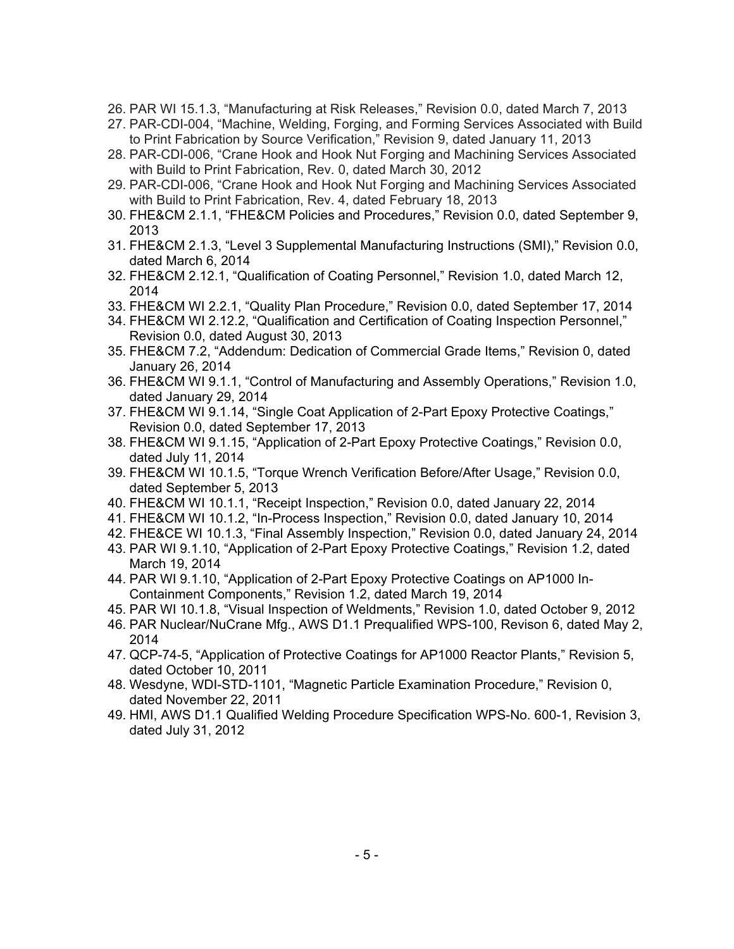- 26. PAR WI 15.1.3, "Manufacturing at Risk Releases," Revision 0.0, dated March 7, 2013
- 27. PAR-CDI-004, "Machine, Welding, Forging, and Forming Services Associated with Build to Print Fabrication by Source Verification," Revision 9, dated January 11, 2013
- 28. PAR-CDI-006, "Crane Hook and Hook Nut Forging and Machining Services Associated with Build to Print Fabrication, Rev. 0, dated March 30, 2012
- 29. PAR-CDI-006, "Crane Hook and Hook Nut Forging and Machining Services Associated with Build to Print Fabrication, Rev. 4, dated February 18, 2013
- 30. FHE&CM 2.1.1, "FHE&CM Policies and Procedures," Revision 0.0, dated September 9, 2013
- 31. FHE&CM 2.1.3, "Level 3 Supplemental Manufacturing Instructions (SMI)," Revision 0.0, dated March 6, 2014
- 32. FHE&CM 2.12.1, "Qualification of Coating Personnel," Revision 1.0, dated March 12, 2014
- 33. FHE&CM WI 2.2.1, "Quality Plan Procedure," Revision 0.0, dated September 17, 2014
- 34. FHE&CM WI 2.12.2, "Qualification and Certification of Coating Inspection Personnel," Revision 0.0, dated August 30, 2013
- 35. FHE&CM 7.2, "Addendum: Dedication of Commercial Grade Items," Revision 0, dated January 26, 2014
- 36. FHE&CM WI 9.1.1, "Control of Manufacturing and Assembly Operations," Revision 1.0, dated January 29, 2014
- 37. FHE&CM WI 9.1.14, "Single Coat Application of 2-Part Epoxy Protective Coatings," Revision 0.0, dated September 17, 2013
- 38. FHE&CM WI 9.1.15, "Application of 2-Part Epoxy Protective Coatings," Revision 0.0, dated July 11, 2014
- 39. FHE&CM WI 10.1.5, "Torque Wrench Verification Before/After Usage," Revision 0.0, dated September 5, 2013
- 40. FHE&CM WI 10.1.1, "Receipt Inspection," Revision 0.0, dated January 22, 2014
- 41. FHE&CM WI 10.1.2, "In-Process Inspection," Revision 0.0, dated January 10, 2014
- 42. FHE&CE WI 10.1.3, "Final Assembly Inspection," Revision 0.0, dated January 24, 2014
- 43. PAR WI 9.1.10, "Application of 2-Part Epoxy Protective Coatings," Revision 1.2, dated March 19, 2014
- 44. PAR WI 9.1.10, "Application of 2-Part Epoxy Protective Coatings on AP1000 In-Containment Components," Revision 1.2, dated March 19, 2014
- 45. PAR WI 10.1.8, "Visual Inspection of Weldments," Revision 1.0, dated October 9, 2012
- 46. PAR Nuclear/NuCrane Mfg., AWS D1.1 Prequalified WPS-100, Revison 6, dated May 2, 2014
- 47. QCP-74-5, "Application of Protective Coatings for AP1000 Reactor Plants," Revision 5, dated October 10, 2011
- 48. Wesdyne, WDI-STD-1101, "Magnetic Particle Examination Procedure," Revision 0, dated November 22, 2011
- 49. HMI, AWS D1.1 Qualified Welding Procedure Specification WPS-No. 600-1, Revision 3, dated July 31, 2012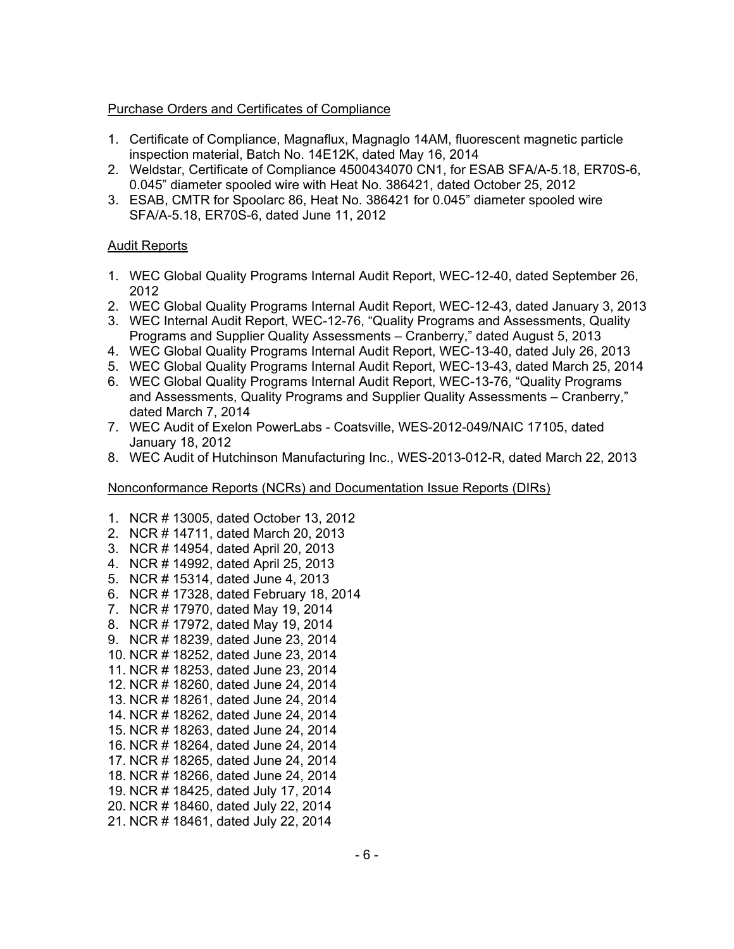### Purchase Orders and Certificates of Compliance

- 1. Certificate of Compliance, Magnaflux, Magnaglo 14AM, fluorescent magnetic particle inspection material, Batch No. 14E12K, dated May 16, 2014
- 2. Weldstar, Certificate of Compliance 4500434070 CN1, for ESAB SFA/A-5.18, ER70S-6, 0.045" diameter spooled wire with Heat No. 386421, dated October 25, 2012
- 3. ESAB, CMTR for Spoolarc 86, Heat No. 386421 for 0.045" diameter spooled wire SFA/A-5.18, ER70S-6, dated June 11, 2012

### Audit Reports

- 1. WEC Global Quality Programs Internal Audit Report, WEC-12-40, dated September 26, 2012
- 2. WEC Global Quality Programs Internal Audit Report, WEC-12-43, dated January 3, 2013
- 3. WEC Internal Audit Report, WEC-12-76, "Quality Programs and Assessments, Quality Programs and Supplier Quality Assessments – Cranberry," dated August 5, 2013
- 4. WEC Global Quality Programs Internal Audit Report, WEC-13-40, dated July 26, 2013
- 5. WEC Global Quality Programs Internal Audit Report, WEC-13-43, dated March 25, 2014
- 6. WEC Global Quality Programs Internal Audit Report, WEC-13-76, "Quality Programs and Assessments, Quality Programs and Supplier Quality Assessments – Cranberry," dated March 7, 2014
- 7. WEC Audit of Exelon PowerLabs Coatsville, WES-2012-049/NAIC 17105, dated January 18, 2012
- 8. WEC Audit of Hutchinson Manufacturing Inc., WES-2013-012-R, dated March 22, 2013

#### Nonconformance Reports (NCRs) and Documentation Issue Reports (DIRs)

- 1. NCR # 13005, dated October 13, 2012
- 2. NCR # 14711, dated March 20, 2013
- 3. NCR # 14954, dated April 20, 2013
- 4. NCR # 14992, dated April 25, 2013
- 5. NCR # 15314, dated June 4, 2013
- 6. NCR # 17328, dated February 18, 2014
- 7. NCR # 17970, dated May 19, 2014
- 8. NCR # 17972, dated May 19, 2014
- 9. NCR # 18239, dated June 23, 2014
- 10. NCR # 18252, dated June 23, 2014
- 11. NCR # 18253, dated June 23, 2014
- 12. NCR # 18260, dated June 24, 2014
- 13. NCR # 18261, dated June 24, 2014
- 14. NCR # 18262, dated June 24, 2014
- 15. NCR # 18263, dated June 24, 2014
- 16. NCR # 18264, dated June 24, 2014
- 17. NCR # 18265, dated June 24, 2014
- 18. NCR # 18266, dated June 24, 2014
- 19. NCR # 18425, dated July 17, 2014 20. NCR # 18460, dated July 22, 2014
- 21. NCR # 18461, dated July 22, 2014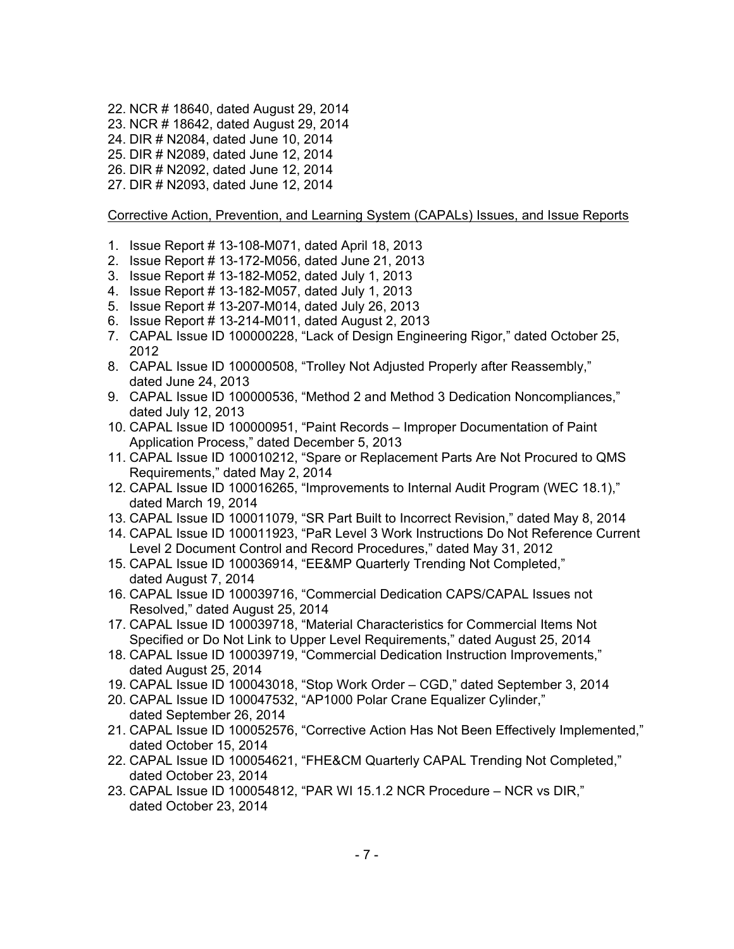- 22. NCR # 18640, dated August 29, 2014
- 23. NCR # 18642, dated August 29, 2014
- 24. DIR # N2084, dated June 10, 2014
- 25. DIR # N2089, dated June 12, 2014
- 26. DIR # N2092, dated June 12, 2014
- 27. DIR # N2093, dated June 12, 2014

### Corrective Action, Prevention, and Learning System (CAPALs) Issues, and Issue Reports

- 1. Issue Report # 13-108-M071, dated April 18, 2013
- 2. Issue Report # 13-172-M056, dated June 21, 2013
- 3. Issue Report # 13-182-M052, dated July 1, 2013
- 4. Issue Report # 13-182-M057, dated July 1, 2013
- 5. Issue Report # 13-207-M014, dated July 26, 2013
- 6. Issue Report # 13-214-M011, dated August 2, 2013
- 7. CAPAL Issue ID 100000228, "Lack of Design Engineering Rigor," dated October 25, 2012
- 8. CAPAL Issue ID 100000508, "Trolley Not Adjusted Properly after Reassembly," dated June 24, 2013
- 9. CAPAL Issue ID 100000536, "Method 2 and Method 3 Dedication Noncompliances," dated July 12, 2013
- 10. CAPAL Issue ID 100000951, "Paint Records Improper Documentation of Paint Application Process," dated December 5, 2013
- 11. CAPAL Issue ID 100010212, "Spare or Replacement Parts Are Not Procured to QMS Requirements," dated May 2, 2014
- 12. CAPAL Issue ID 100016265, "Improvements to Internal Audit Program (WEC 18.1)," dated March 19, 2014
- 13. CAPAL Issue ID 100011079, "SR Part Built to Incorrect Revision," dated May 8, 2014
- 14. CAPAL Issue ID 100011923, "PaR Level 3 Work Instructions Do Not Reference Current Level 2 Document Control and Record Procedures," dated May 31, 2012
- 15. CAPAL Issue ID 100036914, "EE&MP Quarterly Trending Not Completed," dated August 7, 2014
- 16. CAPAL Issue ID 100039716, "Commercial Dedication CAPS/CAPAL Issues not Resolved," dated August 25, 2014
- 17. CAPAL Issue ID 100039718, "Material Characteristics for Commercial Items Not Specified or Do Not Link to Upper Level Requirements," dated August 25, 2014
- 18. CAPAL Issue ID 100039719, "Commercial Dedication Instruction Improvements," dated August 25, 2014
- 19. CAPAL Issue ID 100043018, "Stop Work Order CGD," dated September 3, 2014
- 20. CAPAL Issue ID 100047532, "AP1000 Polar Crane Equalizer Cylinder," dated September 26, 2014
- 21. CAPAL Issue ID 100052576, "Corrective Action Has Not Been Effectively Implemented," dated October 15, 2014
- 22. CAPAL Issue ID 100054621, "FHE&CM Quarterly CAPAL Trending Not Completed," dated October 23, 2014
- 23. CAPAL Issue ID 100054812, "PAR WI 15.1.2 NCR Procedure NCR vs DIR," dated October 23, 2014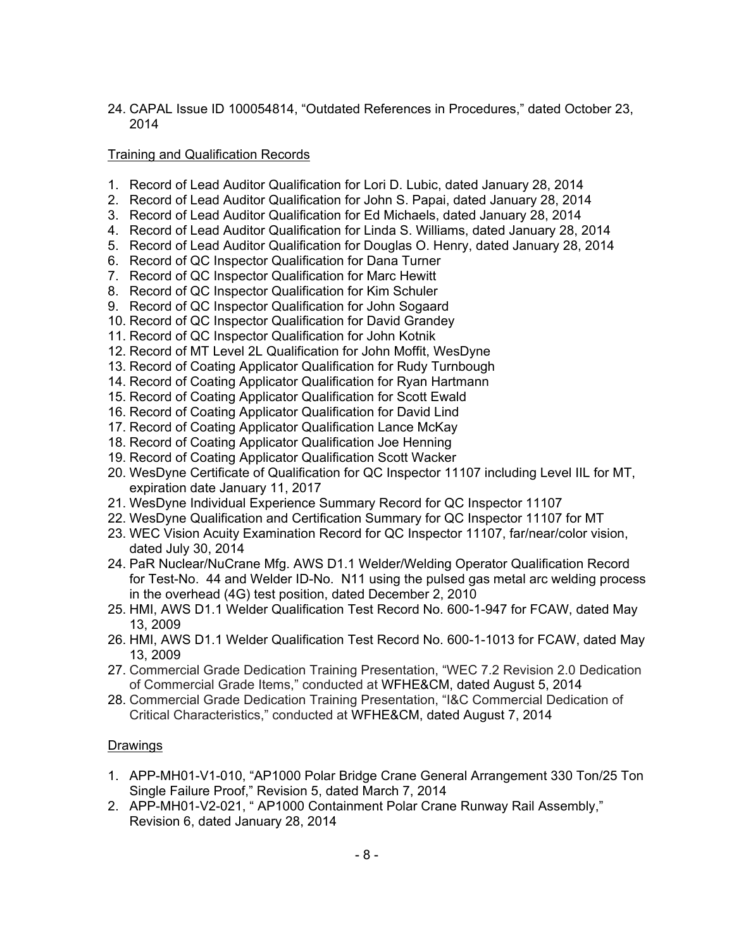24. CAPAL Issue ID 100054814, "Outdated References in Procedures," dated October 23, 2014

## Training and Qualification Records

- 1. Record of Lead Auditor Qualification for Lori D. Lubic, dated January 28, 2014
- 2. Record of Lead Auditor Qualification for John S. Papai, dated January 28, 2014
- 3. Record of Lead Auditor Qualification for Ed Michaels, dated January 28, 2014
- 4. Record of Lead Auditor Qualification for Linda S. Williams, dated January 28, 2014
- 5. Record of Lead Auditor Qualification for Douglas O. Henry, dated January 28, 2014
- 6. Record of QC Inspector Qualification for Dana Turner
- 7. Record of QC Inspector Qualification for Marc Hewitt
- 8. Record of QC Inspector Qualification for Kim Schuler
- 9. Record of QC Inspector Qualification for John Sogaard
- 10. Record of QC Inspector Qualification for David Grandey
- 11. Record of QC Inspector Qualification for John Kotnik
- 12. Record of MT Level 2L Qualification for John Moffit, WesDyne
- 13. Record of Coating Applicator Qualification for Rudy Turnbough
- 14. Record of Coating Applicator Qualification for Ryan Hartmann
- 15. Record of Coating Applicator Qualification for Scott Ewald
- 16. Record of Coating Applicator Qualification for David Lind
- 17. Record of Coating Applicator Qualification Lance McKay
- 18. Record of Coating Applicator Qualification Joe Henning
- 19. Record of Coating Applicator Qualification Scott Wacker
- 20. WesDyne Certificate of Qualification for QC Inspector 11107 including Level IIL for MT, expiration date January 11, 2017
- 21. WesDyne Individual Experience Summary Record for QC Inspector 11107
- 22. WesDyne Qualification and Certification Summary for QC Inspector 11107 for MT
- 23. WEC Vision Acuity Examination Record for QC Inspector 11107, far/near/color vision, dated July 30, 2014
- 24. PaR Nuclear/NuCrane Mfg. AWS D1.1 Welder/Welding Operator Qualification Record for Test-No. 44 and Welder ID-No. N11 using the pulsed gas metal arc welding process in the overhead (4G) test position, dated December 2, 2010
- 25. HMI, AWS D1.1 Welder Qualification Test Record No. 600-1-947 for FCAW, dated May 13, 2009
- 26. HMI, AWS D1.1 Welder Qualification Test Record No. 600-1-1013 for FCAW, dated May 13, 2009
- 27. Commercial Grade Dedication Training Presentation, "WEC 7.2 Revision 2.0 Dedication of Commercial Grade Items," conducted at WFHE&CM, dated August 5, 2014
- 28. Commercial Grade Dedication Training Presentation, "I&C Commercial Dedication of Critical Characteristics," conducted at WFHE&CM, dated August 7, 2014

## Drawings

- 1. APP-MH01-V1-010, "AP1000 Polar Bridge Crane General Arrangement 330 Ton/25 Ton Single Failure Proof," Revision 5, dated March 7, 2014
- 2. APP-MH01-V2-021, " AP1000 Containment Polar Crane Runway Rail Assembly," Revision 6, dated January 28, 2014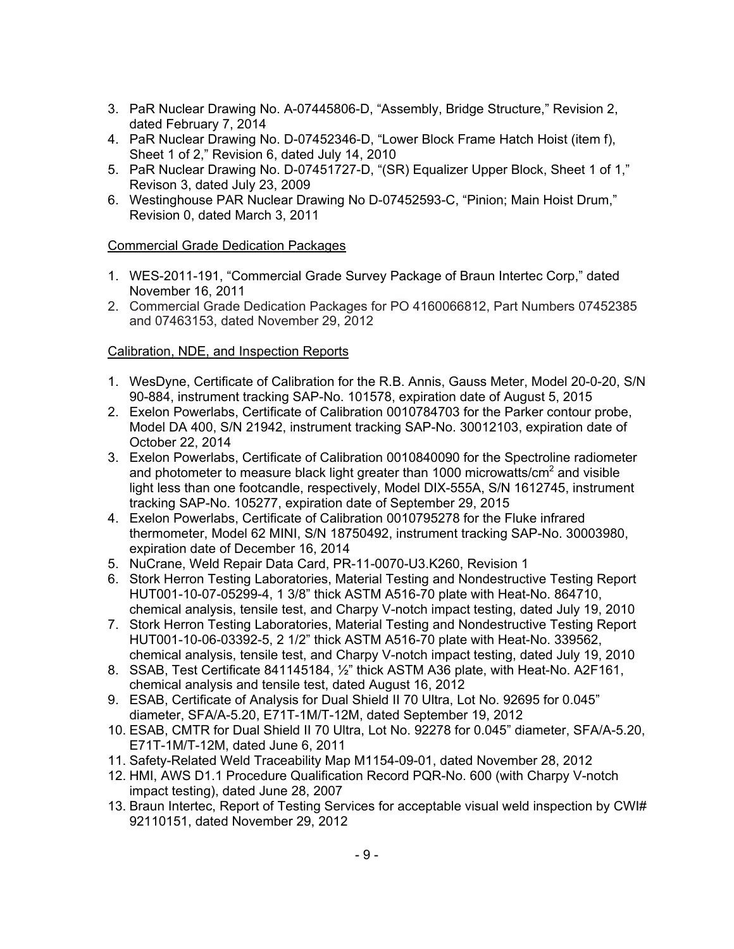- 3. PaR Nuclear Drawing No. A-07445806-D, "Assembly, Bridge Structure," Revision 2, dated February 7, 2014
- 4. PaR Nuclear Drawing No. D-07452346-D, "Lower Block Frame Hatch Hoist (item f), Sheet 1 of 2," Revision 6, dated July 14, 2010
- 5. PaR Nuclear Drawing No. D-07451727-D, "(SR) Equalizer Upper Block, Sheet 1 of 1," Revison 3, dated July 23, 2009
- 6. Westinghouse PAR Nuclear Drawing No D-07452593-C, "Pinion; Main Hoist Drum," Revision 0, dated March 3, 2011

## Commercial Grade Dedication Packages

- 1. WES-2011-191, "Commercial Grade Survey Package of Braun Intertec Corp," dated November 16, 2011
- 2. Commercial Grade Dedication Packages for PO 4160066812, Part Numbers 07452385 and 07463153, dated November 29, 2012

## Calibration, NDE, and Inspection Reports

- 1. WesDyne, Certificate of Calibration for the R.B. Annis, Gauss Meter, Model 20-0-20, S/N 90-884, instrument tracking SAP-No. 101578, expiration date of August 5, 2015
- 2. Exelon Powerlabs, Certificate of Calibration 0010784703 for the Parker contour probe, Model DA 400, S/N 21942, instrument tracking SAP-No. 30012103, expiration date of October 22, 2014
- 3. Exelon Powerlabs, Certificate of Calibration 0010840090 for the Spectroline radiometer and photometer to measure black light greater than 1000 microwatts/cm<sup>2</sup> and visible light less than one footcandle, respectively, Model DIX-555A, S/N 1612745, instrument tracking SAP-No. 105277, expiration date of September 29, 2015
- 4. Exelon Powerlabs, Certificate of Calibration 0010795278 for the Fluke infrared thermometer, Model 62 MINI, S/N 18750492, instrument tracking SAP-No. 30003980, expiration date of December 16, 2014
- 5. NuCrane, Weld Repair Data Card, PR-11-0070-U3.K260, Revision 1
- 6. Stork Herron Testing Laboratories, Material Testing and Nondestructive Testing Report HUT001-10-07-05299-4, 1 3/8" thick ASTM A516-70 plate with Heat-No. 864710, chemical analysis, tensile test, and Charpy V-notch impact testing, dated July 19, 2010
- 7. Stork Herron Testing Laboratories, Material Testing and Nondestructive Testing Report HUT001-10-06-03392-5, 2 1/2" thick ASTM A516-70 plate with Heat-No. 339562, chemical analysis, tensile test, and Charpy V-notch impact testing, dated July 19, 2010
- 8. SSAB, Test Certificate 841145184, ½" thick ASTM A36 plate, with Heat-No. A2F161, chemical analysis and tensile test, dated August 16, 2012
- 9. ESAB, Certificate of Analysis for Dual Shield II 70 Ultra, Lot No. 92695 for 0.045" diameter, SFA/A-5.20, E71T-1M/T-12M, dated September 19, 2012
- 10. ESAB, CMTR for Dual Shield II 70 Ultra, Lot No. 92278 for 0.045" diameter, SFA/A-5.20, E71T-1M/T-12M, dated June 6, 2011
- 11. Safety-Related Weld Traceability Map M1154-09-01, dated November 28, 2012
- 12. HMI, AWS D1.1 Procedure Qualification Record PQR-No. 600 (with Charpy V-notch impact testing), dated June 28, 2007
- 13. Braun Intertec, Report of Testing Services for acceptable visual weld inspection by CWI# 92110151, dated November 29, 2012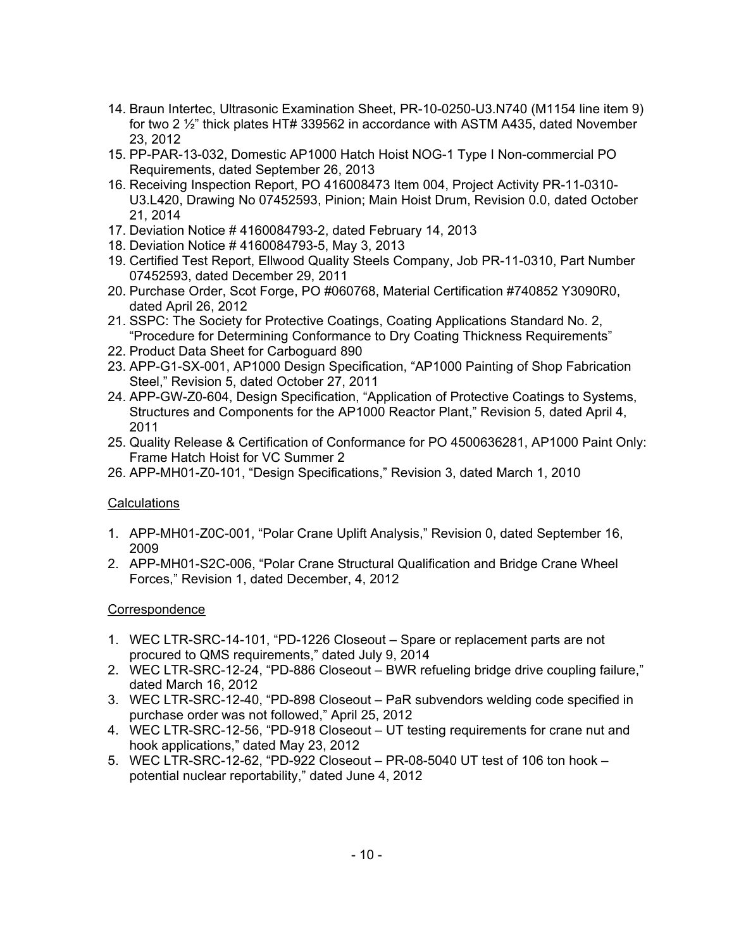- 14. Braun Intertec, Ultrasonic Examination Sheet, PR-10-0250-U3.N740 (M1154 line item 9) for two 2 ½" thick plates HT# 339562 in accordance with ASTM A435, dated November 23, 2012
- 15. PP-PAR-13-032, Domestic AP1000 Hatch Hoist NOG-1 Type I Non-commercial PO Requirements, dated September 26, 2013
- 16. Receiving Inspection Report, PO 416008473 Item 004, Project Activity PR-11-0310- U3.L420, Drawing No 07452593, Pinion; Main Hoist Drum, Revision 0.0, dated October 21, 2014
- 17. Deviation Notice # 4160084793-2, dated February 14, 2013
- 18. Deviation Notice # 4160084793-5, May 3, 2013
- 19. Certified Test Report, Ellwood Quality Steels Company, Job PR-11-0310, Part Number 07452593, dated December 29, 2011
- 20. Purchase Order, Scot Forge, PO #060768, Material Certification #740852 Y3090R0, dated April 26, 2012
- 21. SSPC: The Society for Protective Coatings, Coating Applications Standard No. 2, "Procedure for Determining Conformance to Dry Coating Thickness Requirements"
- 22. Product Data Sheet for Carboguard 890
- 23. APP-G1-SX-001, AP1000 Design Specification, "AP1000 Painting of Shop Fabrication Steel," Revision 5, dated October 27, 2011
- 24. APP-GW-Z0-604, Design Specification, "Application of Protective Coatings to Systems, Structures and Components for the AP1000 Reactor Plant," Revision 5, dated April 4, 2011
- 25. Quality Release & Certification of Conformance for PO 4500636281, AP1000 Paint Only: Frame Hatch Hoist for VC Summer 2
- 26. APP-MH01-Z0-101, "Design Specifications," Revision 3, dated March 1, 2010

## Calculations

- 1. APP-MH01-Z0C-001, "Polar Crane Uplift Analysis," Revision 0, dated September 16, 2009
- 2. APP-MH01-S2C-006, "Polar Crane Structural Qualification and Bridge Crane Wheel Forces," Revision 1, dated December, 4, 2012

## **Correspondence**

- 1. WEC LTR-SRC-14-101, "PD-1226 Closeout Spare or replacement parts are not procured to QMS requirements," dated July 9, 2014
- 2. WEC LTR-SRC-12-24, "PD-886 Closeout BWR refueling bridge drive coupling failure," dated March 16, 2012
- 3. WEC LTR-SRC-12-40, "PD-898 Closeout PaR subvendors welding code specified in purchase order was not followed," April 25, 2012
- 4. WEC LTR-SRC-12-56, "PD-918 Closeout UT testing requirements for crane nut and hook applications," dated May 23, 2012
- 5. WEC LTR-SRC-12-62, "PD-922 Closeout PR-08-5040 UT test of 106 ton hook potential nuclear reportability," dated June 4, 2012